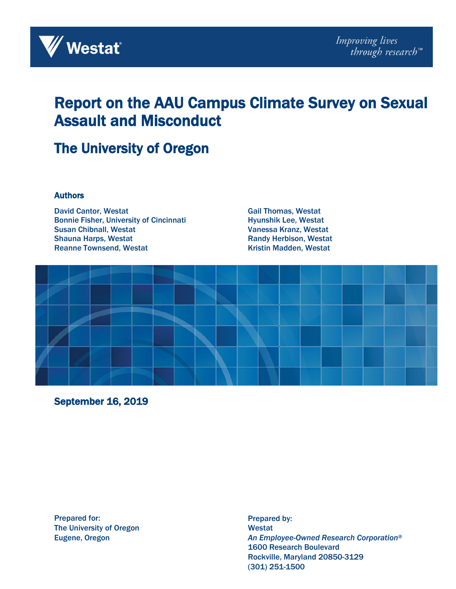

# Report on the AAU Campus Climate Survey on Sexual Assault and Misconduct

# The University of Oregon

#### **Authors**

David Cantor, Westat Bonnie Fisher, University of Cincinnati Susan Chibnall, Westat Shauna Harps, Westat Reanne Townsend, Westat

Gail Thomas, Westat Hyunshik Lee, Westat Vanessa Kranz, Westat Randy Herbison, Westat Kristin Madden, Westat



September 16, 2019

Prepared for: The University of Oregon Eugene, Oregon

Prepared by: Westat *An Employee-Owned Research Corporation®* 1600 Research Boulevard Rockville, Maryland 20850-3129 (301) 251-1500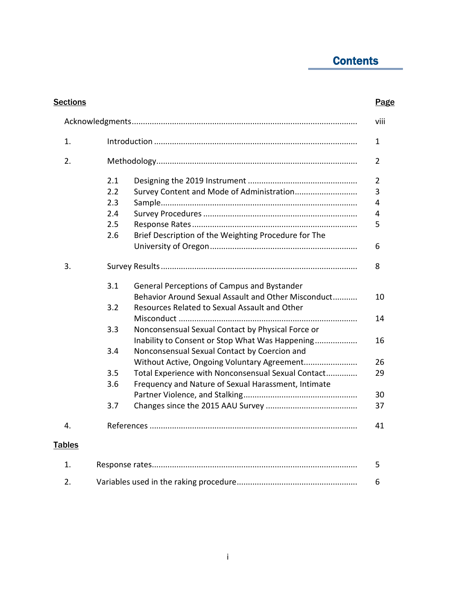# **Contents**

| <b>Sections</b> |                                                             | Page           |
|-----------------|-------------------------------------------------------------|----------------|
|                 |                                                             | viii           |
| 1.              |                                                             | 1              |
| 2.              |                                                             | 2              |
|                 | 2.1                                                         | $\overline{2}$ |
|                 | Survey Content and Mode of Administration<br>2.2            | 3              |
|                 | 2.3                                                         | 4              |
|                 | 2.4                                                         | 4              |
|                 | 2.5                                                         | 5              |
|                 | 2.6<br>Brief Description of the Weighting Procedure for The |                |
|                 |                                                             | 6              |
| 3.              |                                                             | 8              |
|                 | 3.1<br>General Perceptions of Campus and Bystander          |                |
|                 | Behavior Around Sexual Assault and Other Misconduct         | 10             |
|                 | Resources Related to Sexual Assault and Other<br>3.2        |                |
|                 |                                                             | 14             |
|                 | 3.3<br>Nonconsensual Sexual Contact by Physical Force or    |                |
|                 | Inability to Consent or Stop What Was Happening             | 16             |
|                 | 3.4<br>Nonconsensual Sexual Contact by Coercion and         |                |
|                 | Without Active, Ongoing Voluntary Agreement                 | 26             |
|                 | 3.5<br>Total Experience with Nonconsensual Sexual Contact   | 29             |
|                 | 3.6<br>Frequency and Nature of Sexual Harassment, Intimate  |                |
|                 |                                                             | 30             |
|                 | 3.7                                                         | 37             |
| 4.              |                                                             | 41             |
| <b>Tables</b>   |                                                             |                |
| 1.              |                                                             | 5              |
| 2.              |                                                             | 6              |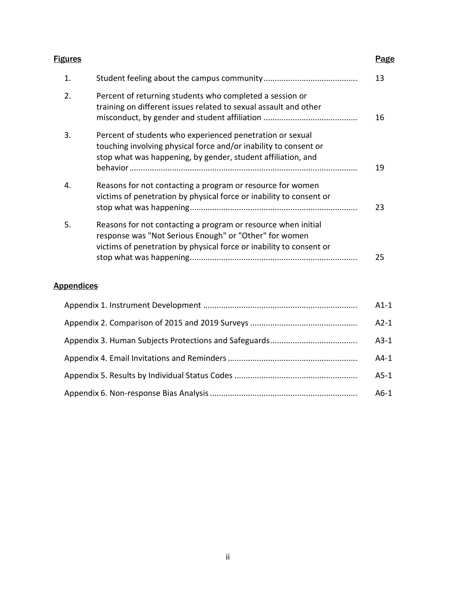| <b>Figures</b> |                                                                                                                                                                                                | Page |
|----------------|------------------------------------------------------------------------------------------------------------------------------------------------------------------------------------------------|------|
| 1.             |                                                                                                                                                                                                | 13   |
| 2.             | Percent of returning students who completed a session or<br>training on different issues related to sexual assault and other                                                                   | 16   |
| 3.             | Percent of students who experienced penetration or sexual<br>touching involving physical force and/or inability to consent or<br>stop what was happening, by gender, student affiliation, and  | 19   |
| 4.             | Reasons for not contacting a program or resource for women<br>victims of penetration by physical force or inability to consent or                                                              | 23   |
| 5.             | Reasons for not contacting a program or resource when initial<br>response was "Not Serious Enough" or "Other" for women<br>victims of penetration by physical force or inability to consent or |      |
|                |                                                                                                                                                                                                | 25   |

### **Appendices**

| $A1-1$ |
|--------|
| $A2-1$ |
| $A3-1$ |
| A4-1   |
| A5-1   |
| $A6-1$ |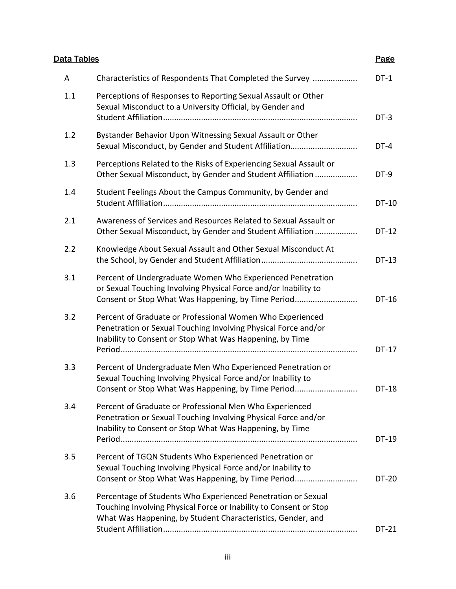| Data Tables |                                                                                                                                                                                                  | <b>Page</b>  |
|-------------|--------------------------------------------------------------------------------------------------------------------------------------------------------------------------------------------------|--------------|
| A           | Characteristics of Respondents That Completed the Survey                                                                                                                                         | $DT-1$       |
| 1.1         | Perceptions of Responses to Reporting Sexual Assault or Other<br>Sexual Misconduct to a University Official, by Gender and                                                                       | $DT-3$       |
| 1.2         | Bystander Behavior Upon Witnessing Sexual Assault or Other<br>Sexual Misconduct, by Gender and Student Affiliation                                                                               | DT-4         |
| 1.3         | Perceptions Related to the Risks of Experiencing Sexual Assault or<br>Other Sexual Misconduct, by Gender and Student Affiliation                                                                 | DT-9         |
| 1.4         | Student Feelings About the Campus Community, by Gender and                                                                                                                                       | DT-10        |
| 2.1         | Awareness of Services and Resources Related to Sexual Assault or<br>Other Sexual Misconduct, by Gender and Student Affiliation                                                                   | DT-12        |
| 2.2         | Knowledge About Sexual Assault and Other Sexual Misconduct At                                                                                                                                    | DT-13        |
| 3.1         | Percent of Undergraduate Women Who Experienced Penetration<br>or Sexual Touching Involving Physical Force and/or Inability to<br>Consent or Stop What Was Happening, by Time Period              | DT-16        |
| 3.2         | Percent of Graduate or Professional Women Who Experienced<br>Penetration or Sexual Touching Involving Physical Force and/or<br>Inability to Consent or Stop What Was Happening, by Time          | <b>DT-17</b> |
| 3.3         | Percent of Undergraduate Men Who Experienced Penetration or<br>Sexual Touching Involving Physical Force and/or Inability to<br>Consent or Stop What Was Happening, by Time Period                | DT-18        |
| 3.4         | Percent of Graduate or Professional Men Who Experienced<br>Penetration or Sexual Touching Involving Physical Force and/or<br>Inability to Consent or Stop What Was Happening, by Time            | DT-19        |
| 3.5         | Percent of TGQN Students Who Experienced Penetration or<br>Sexual Touching Involving Physical Force and/or Inability to<br>Consent or Stop What Was Happening, by Time Period                    | DT-20        |
| 3.6         | Percentage of Students Who Experienced Penetration or Sexual<br>Touching Involving Physical Force or Inability to Consent or Stop<br>What Was Happening, by Student Characteristics, Gender, and |              |
|             |                                                                                                                                                                                                  | <b>DT-21</b> |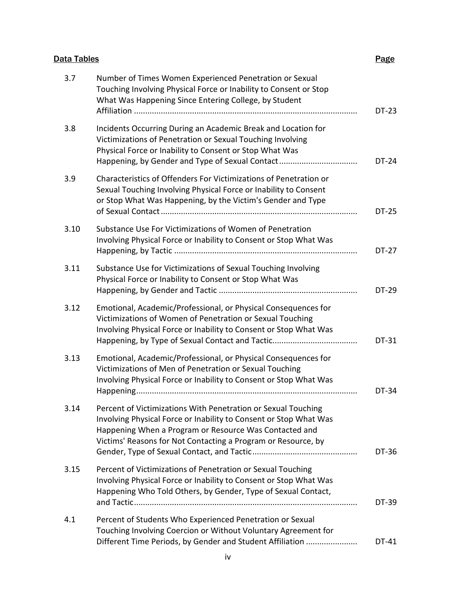## **Data Tables** Page 2014 **Page 2014**

| 3.7  | Number of Times Women Experienced Penetration or Sexual<br>Touching Involving Physical Force or Inability to Consent or Stop<br>What Was Happening Since Entering College, by Student                                                                         | DT-23 |
|------|---------------------------------------------------------------------------------------------------------------------------------------------------------------------------------------------------------------------------------------------------------------|-------|
| 3.8  | Incidents Occurring During an Academic Break and Location for<br>Victimizations of Penetration or Sexual Touching Involving<br>Physical Force or Inability to Consent or Stop What Was<br>Happening, by Gender and Type of Sexual Contact                     | DT-24 |
| 3.9  | Characteristics of Offenders For Victimizations of Penetration or<br>Sexual Touching Involving Physical Force or Inability to Consent<br>or Stop What Was Happening, by the Victim's Gender and Type                                                          | DT-25 |
| 3.10 | Substance Use For Victimizations of Women of Penetration<br>Involving Physical Force or Inability to Consent or Stop What Was                                                                                                                                 | DT-27 |
| 3.11 | Substance Use for Victimizations of Sexual Touching Involving<br>Physical Force or Inability to Consent or Stop What Was                                                                                                                                      | DT-29 |
| 3.12 | Emotional, Academic/Professional, or Physical Consequences for<br>Victimizations of Women of Penetration or Sexual Touching<br>Involving Physical Force or Inability to Consent or Stop What Was                                                              | DT-31 |
| 3.13 | Emotional, Academic/Professional, or Physical Consequences for<br>Victimizations of Men of Penetration or Sexual Touching<br>Involving Physical Force or Inability to Consent or Stop What Was                                                                | DT-34 |
| 3.14 | Percent of Victimizations With Penetration or Sexual Touching<br>Involving Physical Force or Inability to Consent or Stop What Was<br>Happening When a Program or Resource Was Contacted and<br>Victims' Reasons for Not Contacting a Program or Resource, by | DT-36 |
| 3.15 | Percent of Victimizations of Penetration or Sexual Touching<br>Involving Physical Force or Inability to Consent or Stop What Was<br>Happening Who Told Others, by Gender, Type of Sexual Contact,                                                             | DT-39 |
| 4.1  | Percent of Students Who Experienced Penetration or Sexual<br>Touching Involving Coercion or Without Voluntary Agreement for<br>Different Time Periods, by Gender and Student Affiliation                                                                      | DT-41 |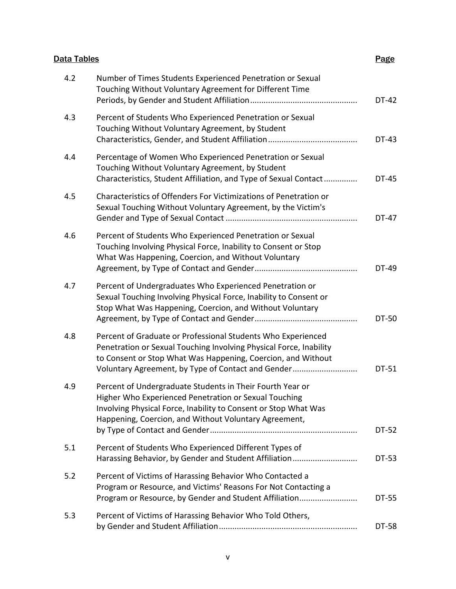| Data Tables |                                                                                                                                                                                                                                                          | <b>Page</b> |
|-------------|----------------------------------------------------------------------------------------------------------------------------------------------------------------------------------------------------------------------------------------------------------|-------------|
| 4.2         | Number of Times Students Experienced Penetration or Sexual<br>Touching Without Voluntary Agreement for Different Time                                                                                                                                    | DT-42       |
| 4.3         | Percent of Students Who Experienced Penetration or Sexual<br>Touching Without Voluntary Agreement, by Student                                                                                                                                            | DT-43       |
| 4.4         | Percentage of Women Who Experienced Penetration or Sexual<br>Touching Without Voluntary Agreement, by Student<br>Characteristics, Student Affiliation, and Type of Sexual Contact                                                                        | DT-45       |
| 4.5         | Characteristics of Offenders For Victimizations of Penetration or<br>Sexual Touching Without Voluntary Agreement, by the Victim's                                                                                                                        | DT-47       |
| 4.6         | Percent of Students Who Experienced Penetration or Sexual<br>Touching Involving Physical Force, Inability to Consent or Stop<br>What Was Happening, Coercion, and Without Voluntary                                                                      | DT-49       |
| 4.7         | Percent of Undergraduates Who Experienced Penetration or<br>Sexual Touching Involving Physical Force, Inability to Consent or<br>Stop What Was Happening, Coercion, and Without Voluntary                                                                | DT-50       |
| 4.8         | Percent of Graduate or Professional Students Who Experienced<br>Penetration or Sexual Touching Involving Physical Force, Inability<br>to Consent or Stop What Was Happening, Coercion, and Without<br>Voluntary Agreement, by Type of Contact and Gender | DT-51       |
| 4.9         | Percent of Undergraduate Students in Their Fourth Year or<br>Higher Who Experienced Penetration or Sexual Touching<br>Involving Physical Force, Inability to Consent or Stop What Was<br>Happening, Coercion, and Without Voluntary Agreement,           | DT-52       |
| 5.1         | Percent of Students Who Experienced Different Types of<br>Harassing Behavior, by Gender and Student Affiliation                                                                                                                                          | DT-53       |
| 5.2         | Percent of Victims of Harassing Behavior Who Contacted a<br>Program or Resource, and Victims' Reasons For Not Contacting a<br>Program or Resource, by Gender and Student Affiliation                                                                     | DT-55       |
| 5.3         | Percent of Victims of Harassing Behavior Who Told Others,                                                                                                                                                                                                | DT-58       |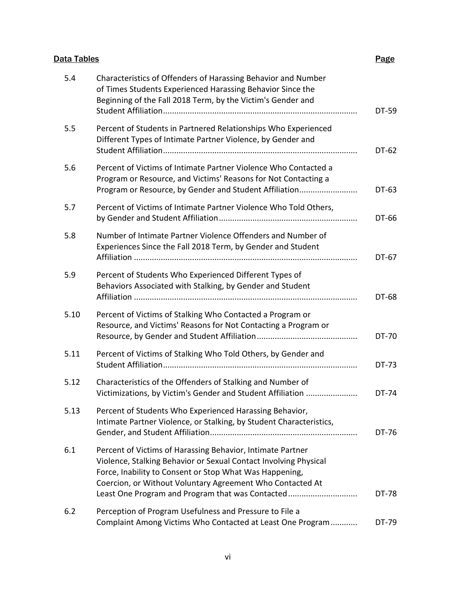## **Data Tables** Page 2014 **Page 2014**

| 5.4  | Characteristics of Offenders of Harassing Behavior and Number<br>of Times Students Experienced Harassing Behavior Since the<br>Beginning of the Fall 2018 Term, by the Victim's Gender and                                                                                                                 | DT-59 |
|------|------------------------------------------------------------------------------------------------------------------------------------------------------------------------------------------------------------------------------------------------------------------------------------------------------------|-------|
| 5.5  | Percent of Students in Partnered Relationships Who Experienced<br>Different Types of Intimate Partner Violence, by Gender and                                                                                                                                                                              | DT-62 |
| 5.6  | Percent of Victims of Intimate Partner Violence Who Contacted a<br>Program or Resource, and Victims' Reasons for Not Contacting a<br>Program or Resource, by Gender and Student Affiliation                                                                                                                | DT-63 |
| 5.7  | Percent of Victims of Intimate Partner Violence Who Told Others,                                                                                                                                                                                                                                           | DT-66 |
| 5.8  | Number of Intimate Partner Violence Offenders and Number of<br>Experiences Since the Fall 2018 Term, by Gender and Student                                                                                                                                                                                 | DT-67 |
| 5.9  | Percent of Students Who Experienced Different Types of<br>Behaviors Associated with Stalking, by Gender and Student                                                                                                                                                                                        | DT-68 |
| 5.10 | Percent of Victims of Stalking Who Contacted a Program or<br>Resource, and Victims' Reasons for Not Contacting a Program or                                                                                                                                                                                | DT-70 |
| 5.11 | Percent of Victims of Stalking Who Told Others, by Gender and                                                                                                                                                                                                                                              | DT-73 |
| 5.12 | Characteristics of the Offenders of Stalking and Number of<br>Victimizations, by Victim's Gender and Student Affiliation                                                                                                                                                                                   | DT-74 |
| 5.13 | Percent of Students Who Experienced Harassing Behavior,<br>Intimate Partner Violence, or Stalking, by Student Characteristics,                                                                                                                                                                             | DT-76 |
| 6.1  | Percent of Victims of Harassing Behavior, Intimate Partner<br>Violence, Stalking Behavior or Sexual Contact Involving Physical<br>Force, Inability to Consent or Stop What Was Happening,<br>Coercion, or Without Voluntary Agreement Who Contacted At<br>Least One Program and Program that was Contacted | DT-78 |
| 6.2  | Perception of Program Usefulness and Pressure to File a<br>Complaint Among Victims Who Contacted at Least One Program                                                                                                                                                                                      | DT-79 |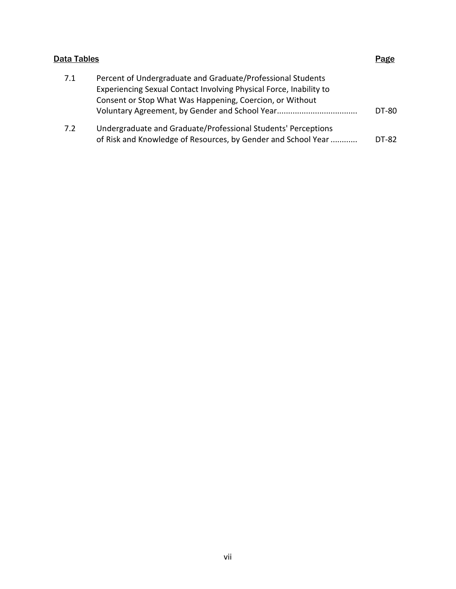|     | Data Tables                                                                                                                                                                                   |       |  |
|-----|-----------------------------------------------------------------------------------------------------------------------------------------------------------------------------------------------|-------|--|
| 7.1 | Percent of Undergraduate and Graduate/Professional Students<br>Experiencing Sexual Contact Involving Physical Force, Inability to<br>Consent or Stop What Was Happening, Coercion, or Without |       |  |
|     | Voluntary Agreement, by Gender and School Year                                                                                                                                                | DT-80 |  |
| 7.2 | Undergraduate and Graduate/Professional Students' Perceptions<br>of Risk and Knowledge of Resources, by Gender and School Year                                                                | DT-82 |  |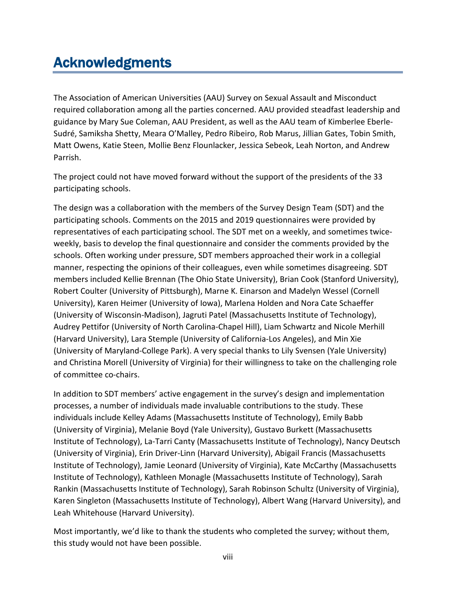# Acknowledgments

The Association of American Universities (AAU) Survey on Sexual Assault and Misconduct required collaboration among all the parties concerned. AAU provided steadfast leadership and guidance by Mary Sue Coleman, AAU President, as well as the AAU team of Kimberlee Eberle-Sudré, Samiksha Shetty, Meara O'Malley, Pedro Ribeiro, Rob Marus, Jillian Gates, Tobin Smith, Matt Owens, Katie Steen, Mollie Benz Flounlacker, Jessica Sebeok, Leah Norton, and Andrew Parrish.

The project could not have moved forward without the support of the presidents of the 33 participating schools.

The design was a collaboration with the members of the Survey Design Team (SDT) and the participating schools. Comments on the 2015 and 2019 questionnaires were provided by representatives of each participating school. The SDT met on a weekly, and sometimes twiceweekly, basis to develop the final questionnaire and consider the comments provided by the schools. Often working under pressure, SDT members approached their work in a collegial manner, respecting the opinions of their colleagues, even while sometimes disagreeing. SDT members included Kellie Brennan (The Ohio State University), Brian Cook (Stanford University), Robert Coulter (University of Pittsburgh), Marne K. Einarson and Madelyn Wessel (Cornell University), Karen Heimer (University of Iowa), Marlena Holden and Nora Cate Schaeffer (University of Wisconsin-Madison), Jagruti Patel (Massachusetts Institute of Technology), Audrey Pettifor (University of North Carolina-Chapel Hill), Liam Schwartz and Nicole Merhill (Harvard University), Lara Stemple (University of California-Los Angeles), and Min Xie (University of Maryland-College Park). A very special thanks to Lily Svensen (Yale University) and Christina Morell (University of Virginia) for their willingness to take on the challenging role of committee co-chairs.

In addition to SDT members' active engagement in the survey's design and implementation processes, a number of individuals made invaluable contributions to the study. These individuals include Kelley Adams (Massachusetts Institute of Technology), Emily Babb (University of Virginia), Melanie Boyd (Yale University), Gustavo Burkett (Massachusetts Institute of Technology), La-Tarri Canty (Massachusetts Institute of Technology), Nancy Deutsch (University of Virginia), Erin Driver-Linn (Harvard University), Abigail Francis (Massachusetts Institute of Technology), Jamie Leonard (University of Virginia), Kate McCarthy (Massachusetts Institute of Technology), Kathleen Monagle (Massachusetts Institute of Technology), Sarah Rankin (Massachusetts Institute of Technology), Sarah Robinson Schultz (University of Virginia), Karen Singleton (Massachusetts Institute of Technology), Albert Wang (Harvard University), and Leah Whitehouse (Harvard University).

Most importantly, we'd like to thank the students who completed the survey; without them, this study would not have been possible.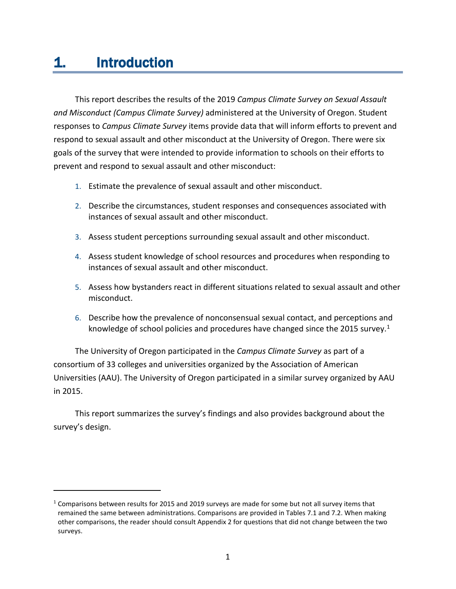# 1. Introduction

This report describes the results of the 2019 *Campus Climate Survey on Sexual Assault and Misconduct (Campus Climate Survey)* administered at the University of Oregon. Student responses to *Campus Climate Survey* items provide data that will inform efforts to prevent and respond to sexual assault and other misconduct at the University of Oregon. There were six goals of the survey that were intended to provide information to schools on their efforts to prevent and respond to sexual assault and other misconduct:

- 1. Estimate the prevalence of sexual assault and other misconduct.
- 2. Describe the circumstances, student responses and consequences associated with instances of sexual assault and other misconduct.
- 3. Assess student perceptions surrounding sexual assault and other misconduct.
- 4. Assess student knowledge of school resources and procedures when responding to instances of sexual assault and other misconduct.
- 5. Assess how bystanders react in different situations related to sexual assault and other misconduct.
- 6. Describe how the prevalence of nonconsensual sexual contact, and perceptions and knowledge of school policies and procedures have changed since the 20[1](#page-9-0)5 survey.<sup>1</sup>

The University of Oregon participated in the *Campus Climate Survey* as part of a consortium of 33 colleges and universities organized by the Association of American Universities (AAU). The University of Oregon participated in a similar survey organized by AAU in 2015.

This report summarizes the survey's findings and also provides background about the survey's design.

<span id="page-9-0"></span> $1$  Comparisons between results for 2015 and 2019 surveys are made for some but not all survey items that remained the same between administrations. Comparisons are provided in Tables 7.1 and 7.2. When making other comparisons, the reader should consult Appendix 2 for questions that did not change between the two surveys.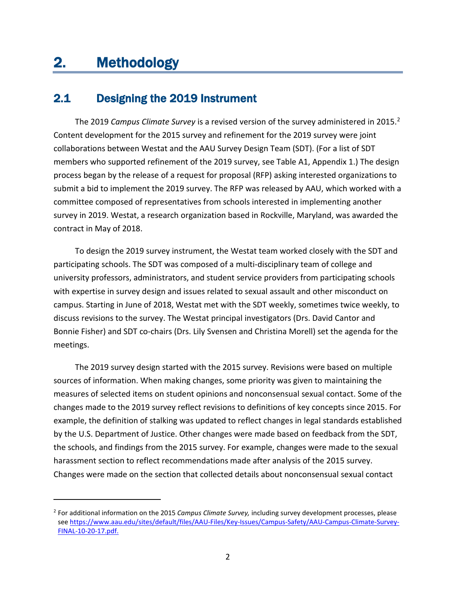# 2. Methodology

# 2.1 Designing the 2019 Instrument

The 2019 *Campus Climate Survey* is a revised version of the survey administered in 2015.<sup>2</sup> Content development for the 2015 survey and refinement for the 2019 survey were joint collaborations between Westat and the AAU Survey Design Team (SDT). (For a list of SDT members who supported refinement of the 2019 survey, see Table A1, Appendix 1.) The design process began by the release of a request for proposal (RFP) asking interested organizations to submit a bid to implement the 2019 survey. The RFP was released by AAU, which worked with a committee composed of representatives from schools interested in implementing another survey in 2019. Westat, a research organization based in Rockville, Maryland, was awarded the contract in May of 2018.

To design the 2019 survey instrument, the Westat team worked closely with the SDT and participating schools. The SDT was composed of a multi-disciplinary team of college and university professors, administrators, and student service providers from participating schools with expertise in survey design and issues related to sexual assault and other misconduct on campus. Starting in June of 2018, Westat met with the SDT weekly, sometimes twice weekly, to discuss revisions to the survey. The Westat principal investigators (Drs. David Cantor and Bonnie Fisher) and SDT co-chairs (Drs. Lily Svensen and Christina Morell) set the agenda for the meetings.

The 2019 survey design started with the 2015 survey. Revisions were based on multiple sources of information. When making changes, some priority was given to maintaining the measures of selected items on student opinions and nonconsensual sexual contact. Some of the changes made to the 2019 survey reflect revisions to definitions of key concepts since 2015. For example, the definition of stalking was updated to reflect changes in legal standards established by the U.S. Department of Justice. Other changes were made based on feedback from the SDT, the schools, and findings from the 2015 survey. For example, changes were made to the sexual harassment section to reflect recommendations made after analysis of the 2015 survey. Changes were made on the section that collected details about nonconsensual sexual contact

<span id="page-10-0"></span><sup>2</sup> For additional information on the 2015 *Campus Climate Survey,* including survey development processes, please see [https://www.aau.edu/sites/default/files/AAU-Files/Key-Issues/Campus-Safety/AAU-Campus-Climate-Survey-](https://www.aau.edu/sites/default/files/AAU-Files/Key-Issues/Campus-Safety/AAU-Campus-Climate-Survey-FINAL-10-20-17.pdf)[FINAL-10-20-17.pdf.](https://www.aau.edu/sites/default/files/AAU-Files/Key-Issues/Campus-Safety/AAU-Campus-Climate-Survey-FINAL-10-20-17.pdf)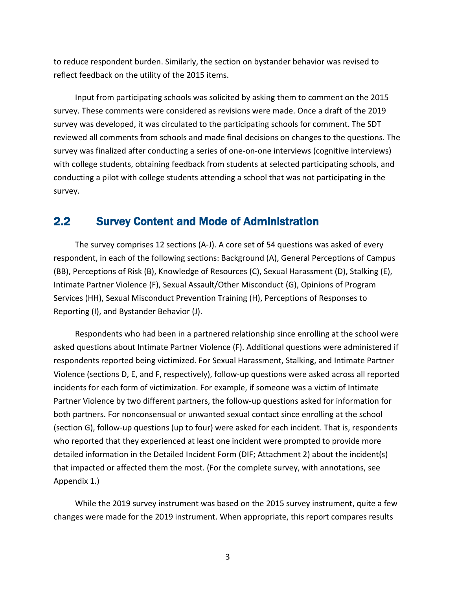to reduce respondent burden. Similarly, the section on bystander behavior was revised to reflect feedback on the utility of the 2015 items.

Input from participating schools was solicited by asking them to comment on the 2015 survey. These comments were considered as revisions were made. Once a draft of the 2019 survey was developed, it was circulated to the participating schools for comment. The SDT reviewed all comments from schools and made final decisions on changes to the questions. The survey was finalized after conducting a series of one-on-one interviews (cognitive interviews) with college students, obtaining feedback from students at selected participating schools, and conducting a pilot with college students attending a school that was not participating in the survey.

## 2.2 Survey Content and Mode of Administration

The survey comprises 12 sections (A-J). A core set of 54 questions was asked of every respondent, in each of the following sections: Background (A), General Perceptions of Campus (BB), Perceptions of Risk (B), Knowledge of Resources (C), Sexual Harassment (D), Stalking (E), Intimate Partner Violence (F), Sexual Assault/Other Misconduct (G), Opinions of Program Services (HH), Sexual Misconduct Prevention Training (H), Perceptions of Responses to Reporting (I), and Bystander Behavior (J).

Respondents who had been in a partnered relationship since enrolling at the school were asked questions about Intimate Partner Violence (F). Additional questions were administered if respondents reported being victimized. For Sexual Harassment, Stalking, and Intimate Partner Violence (sections D, E, and F, respectively), follow-up questions were asked across all reported incidents for each form of victimization. For example, if someone was a victim of Intimate Partner Violence by two different partners, the follow-up questions asked for information for both partners. For nonconsensual or unwanted sexual contact since enrolling at the school (section G), follow-up questions (up to four) were asked for each incident. That is, respondents who reported that they experienced at least one incident were prompted to provide more detailed information in the Detailed Incident Form (DIF; Attachment 2) about the incident(s) that impacted or affected them the most. (For the complete survey, with annotations, see Appendix 1.)

While the 2019 survey instrument was based on the 2015 survey instrument, quite a few changes were made for the 2019 instrument. When appropriate, this report compares results

3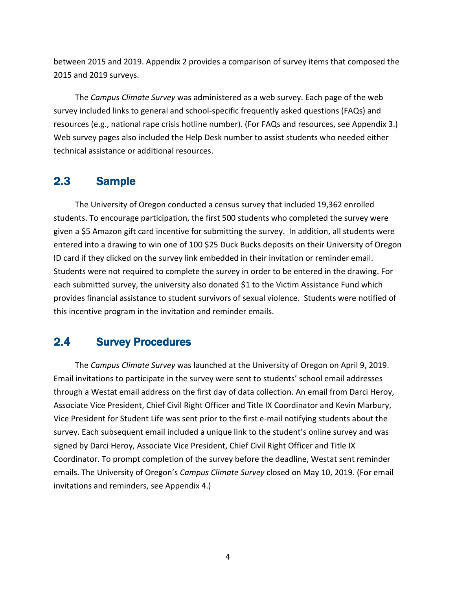between 2015 and 2019. Appendix 2 provides a comparison of survey items that composed the 2015 and 2019 surveys.

The *Campus Climate Survey* was administered as a web survey. Each page of the web survey included links to general and school-specific frequently asked questions (FAQs) and resources (e.g., national rape crisis hotline number). (For FAQs and resources, see Appendix 3.) Web survey pages also included the Help Desk number to assist students who needed either technical assistance or additional resources.

# 2.3 Sample

The University of Oregon conducted a census survey that included 19,362 enrolled students. To encourage participation, the first 500 students who completed the survey were given a \$5 Amazon gift card incentive for submitting the survey. In addition, all students were entered into a drawing to win one of 100 \$25 Duck Bucks deposits on their University of Oregon ID card if they clicked on the survey link embedded in their invitation or reminder email. Students were not required to complete the survey in order to be entered in the drawing. For each submitted survey, the university also donated \$1 to the Victim Assistance Fund which provides financial assistance to student survivors of sexual violence. Students were notified of this incentive program in the invitation and reminder emails.

# 2.4 Survey Procedures

The *Campus Climate Survey* was launched at the University of Oregon on April 9, 2019. Email invitations to participate in the survey were sent to students' school email addresses through a Westat email address on the first day of data collection. An email from Darci Heroy, Associate Vice President, Chief Civil Right Officer and Title IX Coordinator and Kevin Marbury, Vice President for Student Life was sent prior to the first e-mail notifying students about the survey. Each subsequent email included a unique link to the student's online survey and was signed by Darci Heroy, Associate Vice President, Chief Civil Right Officer and Title IX Coordinator. To prompt completion of the survey before the deadline, Westat sent reminder emails. The University of Oregon's *Campus Climate Survey* closed on May 10, 2019. (For email invitations and reminders, see Appendix 4.)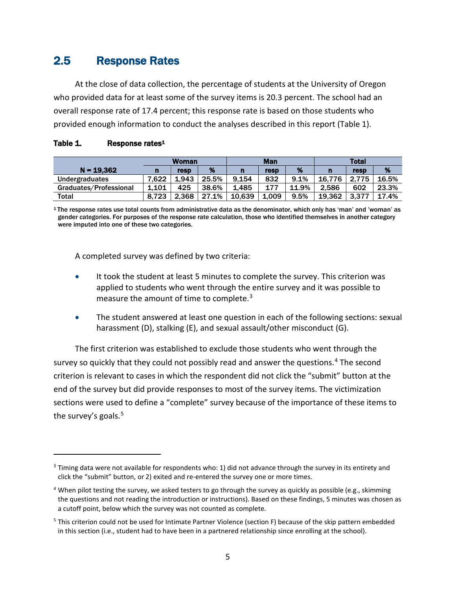# 2.5 Response Rates

At the close of data collection, the percentage of students at the University of Oregon who provided data for at least some of the survey items is 20.3 percent. The school had an overall response rate of 17.4 percent; this response rate is based on those students who provided enough information to conduct the analyses described in this report (Table 1).

|                        | Woman |       | <b>Man</b> |        |       | <b>Total</b> |        |       |       |
|------------------------|-------|-------|------------|--------|-------|--------------|--------|-------|-------|
| $N = 19.362$           | n     | resp  | %          | n      | resp  | %            |        | resp  | %     |
| Undergraduates         | 7.622 | L.943 | 25.5%      | 9.154  | 832   | 9.1%         | 16.776 | 2.775 | 16.5% |
| Graduates/Professional | 1.101 | 425   | 38.6%      | 1.485  | 177   | 11.9%        | 2.586  | 602   | 23.3% |
| Total                  | 8.723 | 2.368 | 27.1%      | 10.639 | 1.009 | 9.5%         | 19.362 | 3.377 | 17.4% |

#### Table 1. Response rates<sup>1</sup>

<sup>1</sup> The response rates use total counts from administrative data as the denominator, which only has 'man' and 'woman' as gender categories. For purposes of the response rate calculation, those who identified themselves in another category were imputed into one of these two categories.

A completed survey was defined by two criteria:

- It took the student at least 5 minutes to complete the survey. This criterion was applied to students who went through the entire survey and it was possible to measure the amount of time to complete.<sup>[3](#page-13-0)</sup>
- The student answered at least one question in each of the following sections: sexual harassment (D), stalking (E), and sexual assault/other misconduct (G).

The first criterion was established to exclude those students who went through the survey so quickly that they could not possibly read and answer the questions.<sup>[4](#page-13-1)</sup> The second criterion is relevant to cases in which the respondent did not click the "submit" button at the end of the survey but did provide responses to most of the survey items. The victimization sections were used to define a "complete" survey because of the importance of these items to the survey's goals.<sup>[5](#page-13-2)</sup>

<span id="page-13-0"></span> $3$  Timing data were not available for respondents who: 1) did not advance through the survey in its entirety and click the "submit" button, or 2) exited and re-entered the survey one or more times.

<span id="page-13-1"></span><sup>&</sup>lt;sup>4</sup> When pilot testing the survey, we asked testers to go through the survey as quickly as possible (e.g., skimming the questions and not reading the introduction or instructions). Based on these findings, 5 minutes was chosen as a cutoff point, below which the survey was not counted as complete.

<span id="page-13-2"></span><sup>5</sup> This criterion could not be used for Intimate Partner Violence (section F) because of the skip pattern embedded in this section (i.e., student had to have been in a partnered relationship since enrolling at the school).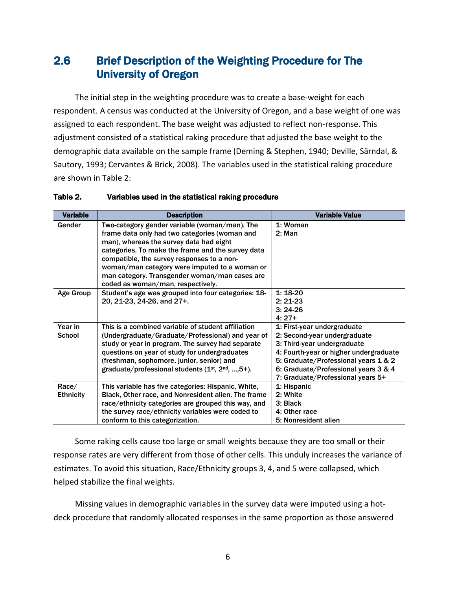# 2.6 Brief Description of the Weighting Procedure for The University of Oregon

The initial step in the weighting procedure was to create a base-weight for each respondent. A census was conducted at the University of Oregon, and a base weight of one was assigned to each respondent. The base weight was adjusted to reflect non-response. This adjustment consisted of a statistical raking procedure that adjusted the base weight to the demographic data available on the sample frame (Deming & Stephen, 1940; Deville, Särndal, & Sautory, 1993; Cervantes & Brick, 2008). The variables used in the statistical raking procedure are shown in Table 2:

| <b>Variable</b>  | <b>Description</b>                                                                                                                               | <b>Variable Value</b>                  |
|------------------|--------------------------------------------------------------------------------------------------------------------------------------------------|----------------------------------------|
| Gender           | Two-category gender variable (woman/man). The<br>frame data only had two categories (woman and<br>man), whereas the survey data had eight        | 1: Woman<br>2: Man                     |
|                  | categories. To make the frame and the survey data<br>compatible, the survey responses to a non-<br>woman/man category were imputed to a woman or |                                        |
|                  | man category. Transgender woman/man cases are<br>coded as woman/man, respectively.                                                               |                                        |
| Age Group        | Student's age was grouped into four categories: 18-                                                                                              | $1:18-20$                              |
|                  | 20, 21-23, 24-26, and 27+.                                                                                                                       | $2:21-23$                              |
|                  |                                                                                                                                                  | $3:24-26$                              |
|                  |                                                                                                                                                  | $4:27+$                                |
| Year in          | This is a combined variable of student affiliation                                                                                               | 1: First-year undergraduate            |
| <b>School</b>    | (Undergraduate/Graduate/Professional) and year of                                                                                                | 2: Second-year undergraduate           |
|                  | study or year in program. The survey had separate                                                                                                | 3: Third-year undergraduate            |
|                  | questions on year of study for undergraduates                                                                                                    | 4: Fourth-year or higher undergraduate |
|                  | (freshman, sophomore, junior, senior) and                                                                                                        | 5: Graduate/Professional years 1 & 2   |
|                  | graduate/professional students $(1st, 2nd, , 5+).$                                                                                               | 6: Graduate/Professional years 3 & 4   |
|                  |                                                                                                                                                  | 7: Graduate/Professional years 5+      |
| Race/            | This variable has five categories: Hispanic, White,                                                                                              | 1: Hispanic                            |
| <b>Ethnicity</b> | Black, Other race, and Nonresident alien. The frame                                                                                              | 2: White                               |
|                  | race/ethnicity categories are grouped this way, and                                                                                              | 3: Black                               |
|                  | the survey race/ethnicity variables were coded to                                                                                                | 4: Other race                          |
|                  | conform to this categorization.                                                                                                                  | 5: Nonresident alien                   |

#### Table 2. Variables used in the statistical raking procedure

Some raking cells cause too large or small weights because they are too small or their response rates are very different from those of other cells. This unduly increases the variance of estimates. To avoid this situation, Race/Ethnicity groups 3, 4, and 5 were collapsed, which helped stabilize the final weights.

Missing values in demographic variables in the survey data were imputed using a hotdeck procedure that randomly allocated responses in the same proportion as those answered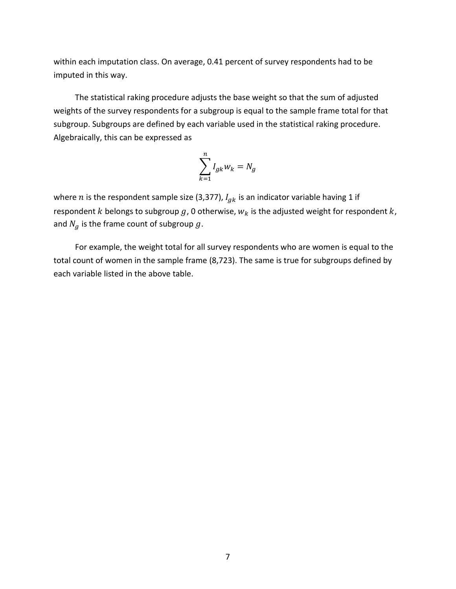within each imputation class. On average, 0.41 percent of survey respondents had to be imputed in this way.

The statistical raking procedure adjusts the base weight so that the sum of adjusted weights of the survey respondents for a subgroup is equal to the sample frame total for that subgroup. Subgroups are defined by each variable used in the statistical raking procedure. Algebraically, this can be expressed as

$$
\sum_{k=1}^{n} I_{gk} w_k = N_g
$$

where *n* is the respondent sample size (3,377),  $I_{gk}$  is an indicator variable having 1 if respondent  $k$  belongs to subgroup  $g$ , 0 otherwise,  $w_k$  is the adjusted weight for respondent  $k$ , and  $N_g$  is the frame count of subgroup  $g$ .

For example, the weight total for all survey respondents who are women is equal to the total count of women in the sample frame (8,723). The same is true for subgroups defined by each variable listed in the above table.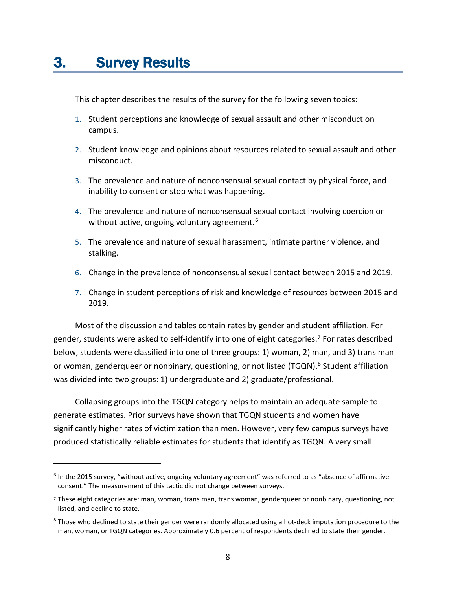This chapter describes the results of the survey for the following seven topics:

- 1. Student perceptions and knowledge of sexual assault and other misconduct on campus.
- 2. Student knowledge and opinions about resources related to sexual assault and other misconduct.
- 3. The prevalence and nature of nonconsensual sexual contact by physical force, and inability to consent or stop what was happening.
- 4. The prevalence and nature of nonconsensual sexual contact involving coercion or without active, ongoing voluntary agreement.<sup>[6](#page-16-0)</sup>
- 5. The prevalence and nature of sexual harassment, intimate partner violence, and stalking.
- 6. Change in the prevalence of nonconsensual sexual contact between 2015 and 2019.
- 7. Change in student perceptions of risk and knowledge of resources between 2015 and 2019.

Most of the discussion and tables contain rates by gender and student affiliation. For gender, students were asked to self-identify into one of eight categories.<sup>[7](#page-16-1)</sup> For rates described below, students were classified into one of three groups: 1) woman, 2) man, and 3) trans man or woman, genderqueer or nonbinary, questioning, or not listed (TGQN).<sup>[8](#page-16-2)</sup> Student affiliation was divided into two groups: 1) undergraduate and 2) graduate/professional.

Collapsing groups into the TGQN category helps to maintain an adequate sample to generate estimates. Prior surveys have shown that TGQN students and women have significantly higher rates of victimization than men. However, very few campus surveys have produced statistically reliable estimates for students that identify as TGQN. A very small

<span id="page-16-0"></span><sup>6</sup> In the 2015 survey, "without active, ongoing voluntary agreement" was referred to as "absence of affirmative consent." The measurement of this tactic did not change between surveys.

<span id="page-16-1"></span><sup>7</sup> These eight categories are: man, woman, trans man, trans woman, genderqueer or nonbinary, questioning, not listed, and decline to state.

<span id="page-16-2"></span><sup>&</sup>lt;sup>8</sup> Those who declined to state their gender were randomly allocated using a hot-deck imputation procedure to the man, woman, or TGQN categories. Approximately 0.6 percent of respondents declined to state their gender.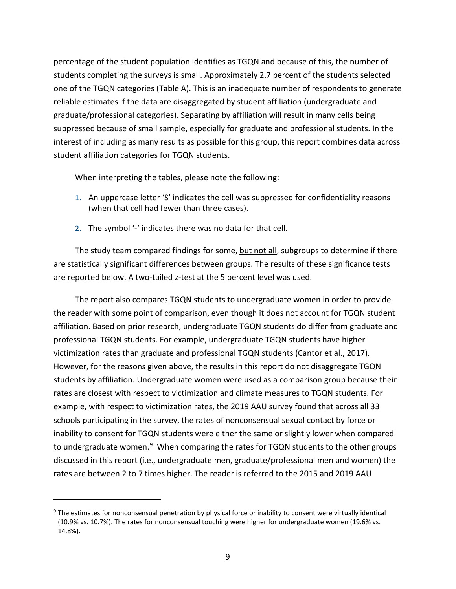percentage of the student population identifies as TGQN and because of this, the number of students completing the surveys is small. Approximately 2.7 percent of the students selected one of the TGQN categories (Table A). This is an inadequate number of respondents to generate reliable estimates if the data are disaggregated by student affiliation (undergraduate and graduate/professional categories). Separating by affiliation will result in many cells being suppressed because of small sample, especially for graduate and professional students. In the interest of including as many results as possible for this group, this report combines data across student affiliation categories for TGQN students.

When interpreting the tables, please note the following:

- 1. An uppercase letter 'S' indicates the cell was suppressed for confidentiality reasons (when that cell had fewer than three cases).
- 2. The symbol '-' indicates there was no data for that cell.

The study team compared findings for some, but not all, subgroups to determine if there are statistically significant differences between groups. The results of these significance tests are reported below. A two-tailed z-test at the 5 percent level was used.

The report also compares TGQN students to undergraduate women in order to provide the reader with some point of comparison, even though it does not account for TGQN student affiliation. Based on prior research, undergraduate TGQN students do differ from graduate and professional TGQN students. For example, undergraduate TGQN students have higher victimization rates than graduate and professional TGQN students (Cantor et al., 2017). However, for the reasons given above, the results in this report do not disaggregate TGQN students by affiliation. Undergraduate women were used as a comparison group because their rates are closest with respect to victimization and climate measures to TGQN students. For example, with respect to victimization rates, the 2019 AAU survey found that across all 33 schools participating in the survey, the rates of nonconsensual sexual contact by force or inability to consent for TGQN students were either the same or slightly lower when compared to undergraduate women.<sup>[9](#page-17-0)</sup> When comparing the rates for TGQN students to the other groups discussed in this report (i.e., undergraduate men, graduate/professional men and women) the rates are between 2 to 7 times higher. The reader is referred to the 2015 and 2019 AAU

<span id="page-17-0"></span><sup>9</sup> The estimates for nonconsensual penetration by physical force or inability to consent were virtually identical (10.9% vs. 10.7%). The rates for nonconsensual touching were higher for undergraduate women (19.6% vs. 14.8%).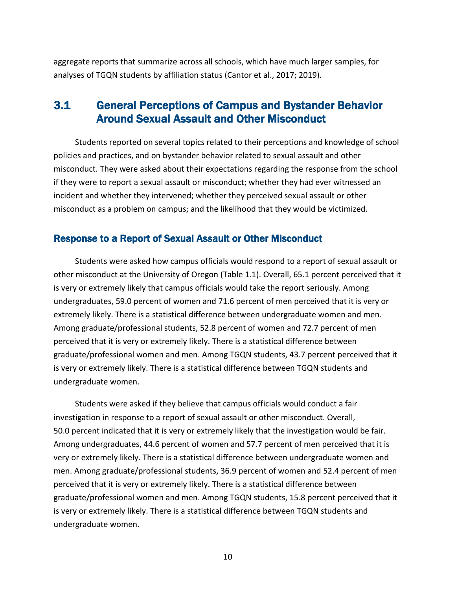aggregate reports that summarize across all schools, which have much larger samples, for analyses of TGQN students by affiliation status (Cantor et al., 2017; 2019).

# 3.1 General Perceptions of Campus and Bystander Behavior Around Sexual Assault and Other Misconduct

Students reported on several topics related to their perceptions and knowledge of school policies and practices, and on bystander behavior related to sexual assault and other misconduct. They were asked about their expectations regarding the response from the school if they were to report a sexual assault or misconduct; whether they had ever witnessed an incident and whether they intervened; whether they perceived sexual assault or other misconduct as a problem on campus; and the likelihood that they would be victimized.

#### Response to a Report of Sexual Assault or Other Misconduct

Students were asked how campus officials would respond to a report of sexual assault or other misconduct at the University of Oregon (Table 1.1). Overall, 65.1 percent perceived that it is very or extremely likely that campus officials would take the report seriously. Among undergraduates, 59.0 percent of women and 71.6 percent of men perceived that it is very or extremely likely. There is a statistical difference between undergraduate women and men. Among graduate/professional students, 52.8 percent of women and 72.7 percent of men perceived that it is very or extremely likely. There is a statistical difference between graduate/professional women and men. Among TGQN students, 43.7 percent perceived that it is very or extremely likely. There is a statistical difference between TGQN students and undergraduate women.

Students were asked if they believe that campus officials would conduct a fair investigation in response to a report of sexual assault or other misconduct. Overall, 50.0 percent indicated that it is very or extremely likely that the investigation would be fair. Among undergraduates, 44.6 percent of women and 57.7 percent of men perceived that it is very or extremely likely. There is a statistical difference between undergraduate women and men. Among graduate/professional students, 36.9 percent of women and 52.4 percent of men perceived that it is very or extremely likely. There is a statistical difference between graduate/professional women and men. Among TGQN students, 15.8 percent perceived that it is very or extremely likely. There is a statistical difference between TGQN students and undergraduate women.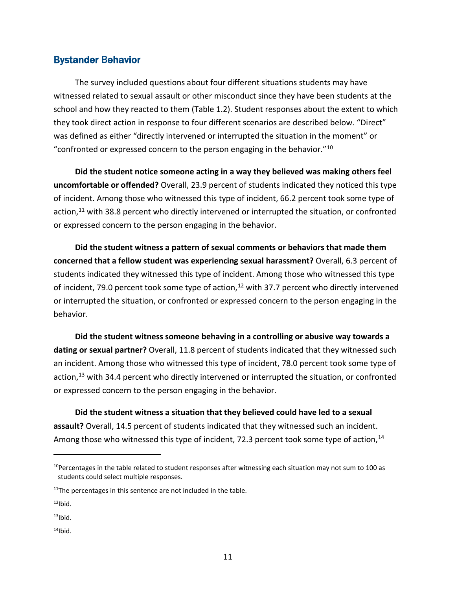#### Bystander Behavior

The survey included questions about four different situations students may have witnessed related to sexual assault or other misconduct since they have been students at the school and how they reacted to them (Table 1.2). Student responses about the extent to which they took direct action in response to four different scenarios are described below. "Direct" was defined as either "directly intervened or interrupted the situation in the moment" or "confronted or expressed concern to the person engaging in the behavior."[10](#page-19-0)

**Did the student notice someone acting in a way they believed was making others feel uncomfortable or offended?** Overall, 23.9 percent of students indicated they noticed this type of incident. Among those who witnessed this type of incident, 66.2 percent took some type of action,<sup>[11](#page-19-1)</sup> with 38.8 percent who directly intervened or interrupted the situation, or confronted or expressed concern to the person engaging in the behavior.

**Did the student witness a pattern of sexual comments or behaviors that made them concerned that a fellow student was experiencing sexual harassment?** Overall, 6.3 percent of students indicated they witnessed this type of incident. Among those who witnessed this type of incident, 79.0 percent took some type of action,<sup>[12](#page-19-2)</sup> with 37.7 percent who directly intervened or interrupted the situation, or confronted or expressed concern to the person engaging in the behavior.

**Did the student witness someone behaving in a controlling or abusive way towards a dating or sexual partner?** Overall, 11.8 percent of students indicated that they witnessed such an incident. Among those who witnessed this type of incident, 78.0 percent took some type of action,<sup>[13](#page-19-3)</sup> with 34.4 percent who directly intervened or interrupted the situation, or confronted or expressed concern to the person engaging in the behavior.

**Did the student witness a situation that they believed could have led to a sexual assault?** Overall, 14.5 percent of students indicated that they witnessed such an incident. Among those who witnessed this type of incident, 72.3 percent took some type of action, [14](#page-19-4)

<span id="page-19-0"></span> $10$ Percentages in the table related to student responses after witnessing each situation may not sum to 100 as students could select multiple responses.

<span id="page-19-1"></span> $11$ <sup>The</sup> percentages in this sentence are not included in the table.

<span id="page-19-2"></span> $12$ Ibid.

<span id="page-19-3"></span> $13$ Ibid.

<span id="page-19-4"></span> $14$ Ibid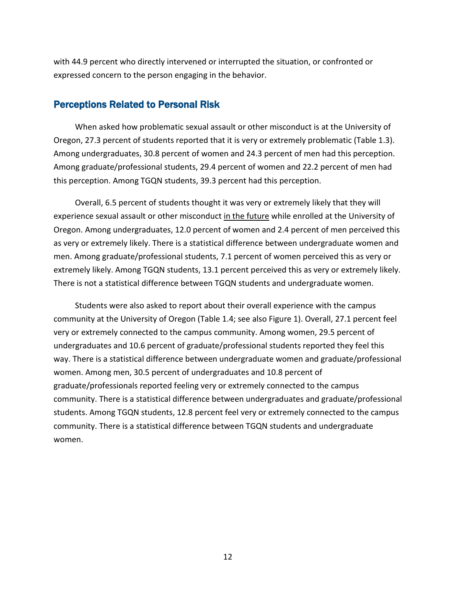with 44.9 percent who directly intervened or interrupted the situation, or confronted or expressed concern to the person engaging in the behavior.

#### Perceptions Related to Personal Risk

When asked how problematic sexual assault or other misconduct is at the University of Oregon, 27.3 percent of students reported that it is very or extremely problematic (Table 1.3). Among undergraduates, 30.8 percent of women and 24.3 percent of men had this perception. Among graduate/professional students, 29.4 percent of women and 22.2 percent of men had this perception. Among TGQN students, 39.3 percent had this perception.

Overall, 6.5 percent of students thought it was very or extremely likely that they will experience sexual assault or other misconduct in the future while enrolled at the University of Oregon. Among undergraduates, 12.0 percent of women and 2.4 percent of men perceived this as very or extremely likely. There is a statistical difference between undergraduate women and men. Among graduate/professional students, 7.1 percent of women perceived this as very or extremely likely. Among TGQN students, 13.1 percent perceived this as very or extremely likely. There is not a statistical difference between TGQN students and undergraduate women.

Students were also asked to report about their overall experience with the campus community at the University of Oregon (Table 1.4; see also Figure 1). Overall, 27.1 percent feel very or extremely connected to the campus community. Among women, 29.5 percent of undergraduates and 10.6 percent of graduate/professional students reported they feel this way. There is a statistical difference between undergraduate women and graduate/professional women. Among men, 30.5 percent of undergraduates and 10.8 percent of graduate/professionals reported feeling very or extremely connected to the campus community. There is a statistical difference between undergraduates and graduate/professional students. Among TGQN students, 12.8 percent feel very or extremely connected to the campus community. There is a statistical difference between TGQN students and undergraduate women.

12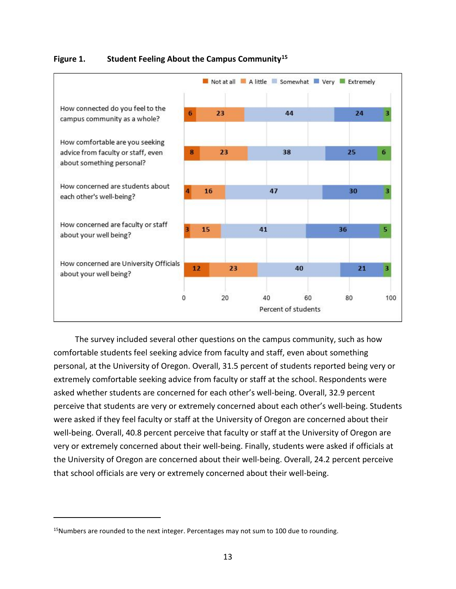

#### **Figure 1. Student Feeling About the Campus Community[15](#page-21-0)**

The survey included several other questions on the campus community, such as how comfortable students feel seeking advice from faculty and staff, even about something personal, at the University of Oregon. Overall, 31.5 percent of students reported being very or extremely comfortable seeking advice from faculty or staff at the school. Respondents were asked whether students are concerned for each other's well-being. Overall, 32.9 percent perceive that students are very or extremely concerned about each other's well-being. Students were asked if they feel faculty or staff at the University of Oregon are concerned about their well-being. Overall, 40.8 percent perceive that faculty or staff at the University of Oregon are very or extremely concerned about their well-being. Finally, students were asked if officials at the University of Oregon are concerned about their well-being. Overall, 24.2 percent perceive that school officials are very or extremely concerned about their well-being.

<span id="page-21-0"></span> $15$ Numbers are rounded to the next integer. Percentages may not sum to 100 due to rounding.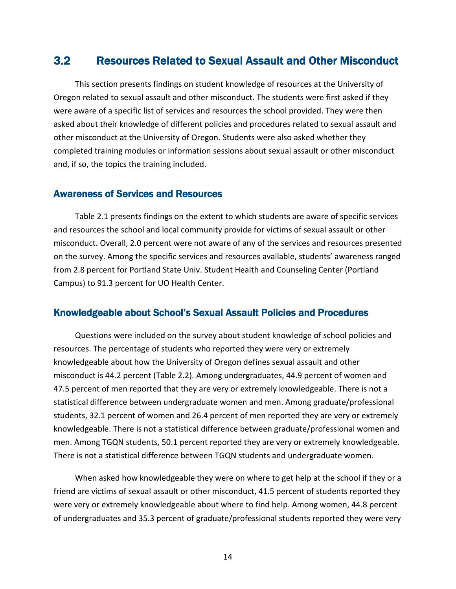# 3.2 Resources Related to Sexual Assault and Other Misconduct

This section presents findings on student knowledge of resources at the University of Oregon related to sexual assault and other misconduct. The students were first asked if they were aware of a specific list of services and resources the school provided. They were then asked about their knowledge of different policies and procedures related to sexual assault and other misconduct at the University of Oregon. Students were also asked whether they completed training modules or information sessions about sexual assault or other misconduct and, if so, the topics the training included.

#### Awareness of Services and Resources

Table 2.1 presents findings on the extent to which students are aware of specific services and resources the school and local community provide for victims of sexual assault or other misconduct. Overall, 2.0 percent were not aware of any of the services and resources presented on the survey. Among the specific services and resources available, students' awareness ranged from 2.8 percent for Portland State Univ. Student Health and Counseling Center (Portland Campus) to 91.3 percent for UO Health Center.

#### Knowledgeable about School's Sexual Assault Policies and Procedures

Questions were included on the survey about student knowledge of school policies and resources. The percentage of students who reported they were very or extremely knowledgeable about how the University of Oregon defines sexual assault and other misconduct is 44.2 percent (Table 2.2). Among undergraduates, 44.9 percent of women and 47.5 percent of men reported that they are very or extremely knowledgeable. There is not a statistical difference between undergraduate women and men. Among graduate/professional students, 32.1 percent of women and 26.4 percent of men reported they are very or extremely knowledgeable. There is not a statistical difference between graduate/professional women and men. Among TGQN students, 50.1 percent reported they are very or extremely knowledgeable. There is not a statistical difference between TGQN students and undergraduate women.

When asked how knowledgeable they were on where to get help at the school if they or a friend are victims of sexual assault or other misconduct, 41.5 percent of students reported they were very or extremely knowledgeable about where to find help. Among women, 44.8 percent of undergraduates and 35.3 percent of graduate/professional students reported they were very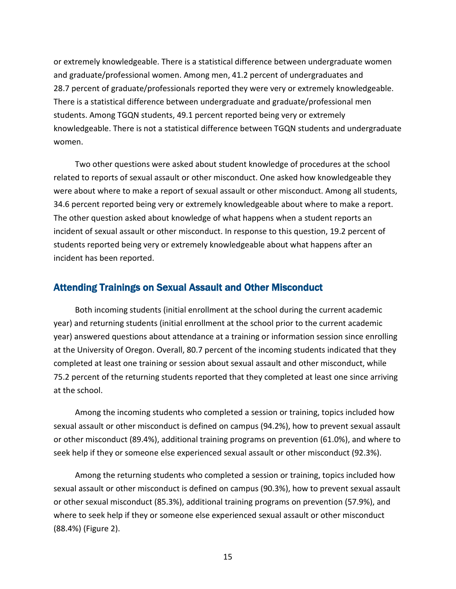or extremely knowledgeable. There is a statistical difference between undergraduate women and graduate/professional women. Among men, 41.2 percent of undergraduates and 28.7 percent of graduate/professionals reported they were very or extremely knowledgeable. There is a statistical difference between undergraduate and graduate/professional men students. Among TGQN students, 49.1 percent reported being very or extremely knowledgeable. There is not a statistical difference between TGQN students and undergraduate women.

Two other questions were asked about student knowledge of procedures at the school related to reports of sexual assault or other misconduct. One asked how knowledgeable they were about where to make a report of sexual assault or other misconduct. Among all students, 34.6 percent reported being very or extremely knowledgeable about where to make a report. The other question asked about knowledge of what happens when a student reports an incident of sexual assault or other misconduct. In response to this question, 19.2 percent of students reported being very or extremely knowledgeable about what happens after an incident has been reported.

#### Attending Trainings on Sexual Assault and Other Misconduct

Both incoming students (initial enrollment at the school during the current academic year) and returning students (initial enrollment at the school prior to the current academic year) answered questions about attendance at a training or information session since enrolling at the University of Oregon. Overall, 80.7 percent of the incoming students indicated that they completed at least one training or session about sexual assault and other misconduct, while 75.2 percent of the returning students reported that they completed at least one since arriving at the school.

Among the incoming students who completed a session or training, topics included how sexual assault or other misconduct is defined on campus (94.2%), how to prevent sexual assault or other misconduct (89.4%), additional training programs on prevention (61.0%), and where to seek help if they or someone else experienced sexual assault or other misconduct (92.3%).

Among the returning students who completed a session or training, topics included how sexual assault or other misconduct is defined on campus (90.3%), how to prevent sexual assault or other sexual misconduct (85.3%), additional training programs on prevention (57.9%), and where to seek help if they or someone else experienced sexual assault or other misconduct (88.4%) (Figure 2).

15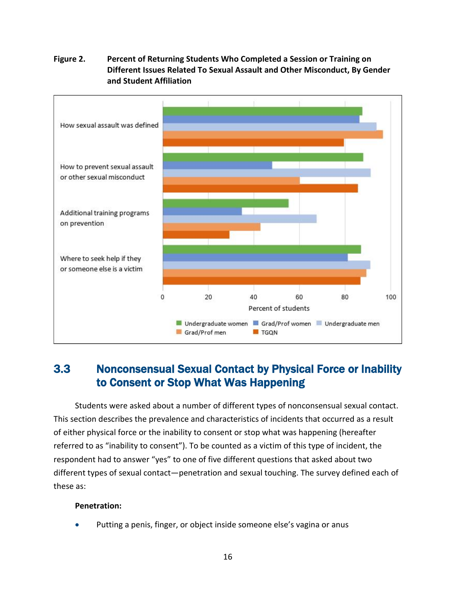# How sexual assault was defined How to prevent sexual assault or other sexual misconduct Additional training programs on prevention Where to seek help if they or someone else is a victim  $\mathbf 0$ 20 40 60 80 100 Percent of students Undergraduate women Grad/Prof women Undergraduate men Grad/Prof men **TE** TGQN

#### **Figure 2. Percent of Returning Students Who Completed a Session or Training on Different Issues Related To Sexual Assault and Other Misconduct, By Gender and Student Affiliation**

# 3.3 Nonconsensual Sexual Contact by Physical Force or Inability to Consent or Stop What Was Happening

Students were asked about a number of different types of nonconsensual sexual contact. This section describes the prevalence and characteristics of incidents that occurred as a result of either physical force or the inability to consent or stop what was happening (hereafter referred to as "inability to consent"). To be counted as a victim of this type of incident, the respondent had to answer "yes" to one of five different questions that asked about two different types of sexual contact—penetration and sexual touching. The survey defined each of these as:

#### **Penetration:**

Putting a penis, finger, or object inside someone else's vagina or anus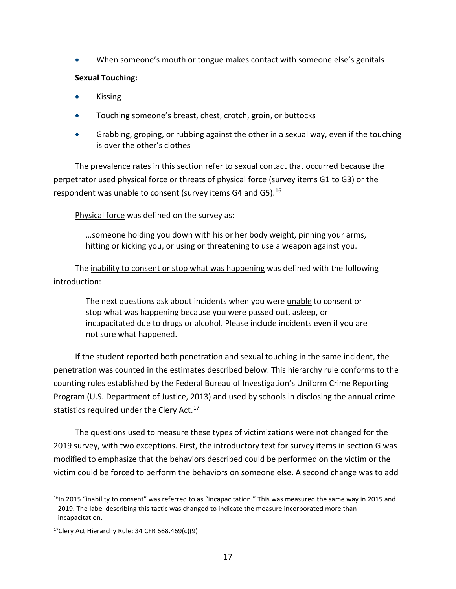• When someone's mouth or tongue makes contact with someone else's genitals

#### **Sexual Touching:**

- Kissing
- Touching someone's breast, chest, crotch, groin, or buttocks
- Grabbing, groping, or rubbing against the other in a sexual way, even if the touching is over the other's clothes

The prevalence rates in this section refer to sexual contact that occurred because the perpetrator used physical force or threats of physical force (survey items G1 to G3) or the respondent was unable to consent (survey items G4 and G5).<sup>[16](#page-25-0)</sup>

Physical force was defined on the survey as:

…someone holding you down with his or her body weight, pinning your arms, hitting or kicking you, or using or threatening to use a weapon against you.

The inability to consent or stop what was happening was defined with the following introduction:

The next questions ask about incidents when you were unable to consent or stop what was happening because you were passed out, asleep, or incapacitated due to drugs or alcohol. Please include incidents even if you are not sure what happened.

If the student reported both penetration and sexual touching in the same incident, the penetration was counted in the estimates described below. This hierarchy rule conforms to the counting rules established by the Federal Bureau of Investigation's Uniform Crime Reporting Program (U.S. Department of Justice, 2013) and used by schools in disclosing the annual crime statistics required under the Clery Act.<sup>[17](#page-25-1)</sup>

The questions used to measure these types of victimizations were not changed for the 2019 survey, with two exceptions. First, the introductory text for survey items in section G was modified to emphasize that the behaviors described could be performed on the victim or the victim could be forced to perform the behaviors on someone else. A second change was to add

<span id="page-25-0"></span> $<sup>16</sup>$ In 2015 "inability to consent" was referred to as "incapacitation." This was measured the same way in 2015 and</sup> 2019. The label describing this tactic was changed to indicate the measure incorporated more than incapacitation.

<span id="page-25-1"></span> $17$ Clery Act Hierarchy Rule: 34 CFR 668.469(c)(9)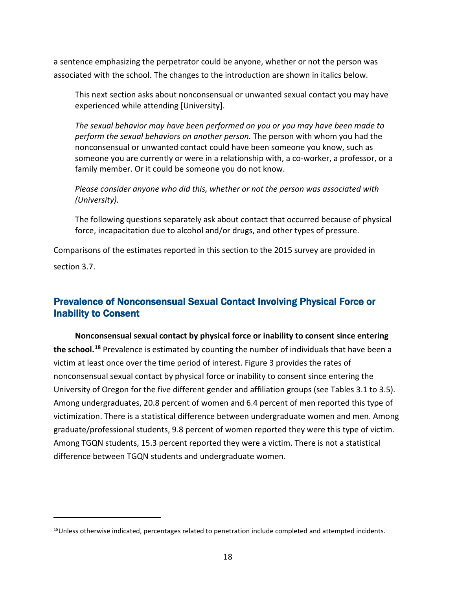a sentence emphasizing the perpetrator could be anyone, whether or not the person was associated with the school. The changes to the introduction are shown in italics below.

This next section asks about nonconsensual or unwanted sexual contact you may have experienced while attending [University].

*The sexual behavior may have been performed on you or you may have been made to perform the sexual behaviors on another person.* The person with whom you had the nonconsensual or unwanted contact could have been someone you know, such as someone you are currently or were in a relationship with, a co-worker, a professor, or a family member. Or it could be someone you do not know.

*Please consider anyone who did this, whether or not the person was associated with (University).*

The following questions separately ask about contact that occurred because of physical force, incapacitation due to alcohol and/or drugs, and other types of pressure.

Comparisons of the estimates reported in this section to the 2015 survey are provided in section 3.7.

### Prevalence of Nonconsensual Sexual Contact Involving Physical Force or Inability to Consent

**Nonconsensual sexual contact by physical force or inability to consent since entering the school. [18](#page-26-0)** Prevalence is estimated by counting the number of individuals that have been a victim at least once over the time period of interest. Figure 3 provides the rates of nonconsensual sexual contact by physical force or inability to consent since entering the University of Oregon for the five different gender and affiliation groups (see Tables 3.1 to 3.5). Among undergraduates, 20.8 percent of women and 6.4 percent of men reported this type of victimization. There is a statistical difference between undergraduate women and men. Among graduate/professional students, 9.8 percent of women reported they were this type of victim. Among TGQN students, 15.3 percent reported they were a victim. There is not a statistical difference between TGQN students and undergraduate women.

<span id="page-26-0"></span><sup>&</sup>lt;sup>18</sup>Unless otherwise indicated, percentages related to penetration include completed and attempted incidents.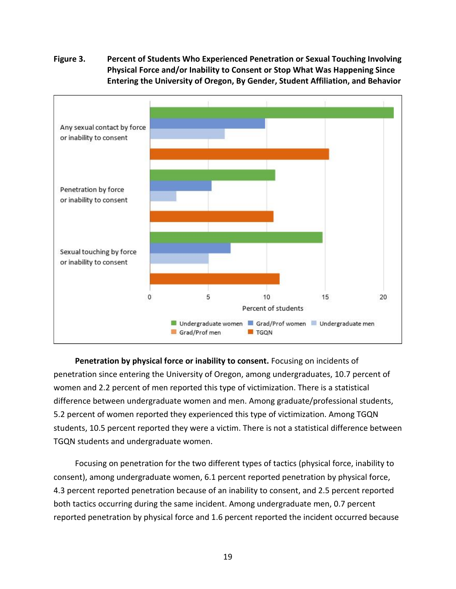#### **Figure 3. Percent of Students Who Experienced Penetration or Sexual Touching Involving Physical Force and/or Inability to Consent or Stop What Was Happening Since Entering the University of Oregon, By Gender, Student Affiliation, and Behavior**



**Penetration by physical force or inability to consent.** Focusing on incidents of penetration since entering the University of Oregon, among undergraduates, 10.7 percent of women and 2.2 percent of men reported this type of victimization. There is a statistical difference between undergraduate women and men. Among graduate/professional students, 5.2 percent of women reported they experienced this type of victimization. Among TGQN students, 10.5 percent reported they were a victim. There is not a statistical difference between TGQN students and undergraduate women.

Focusing on penetration for the two different types of tactics (physical force, inability to consent), among undergraduate women, 6.1 percent reported penetration by physical force, 4.3 percent reported penetration because of an inability to consent, and 2.5 percent reported both tactics occurring during the same incident. Among undergraduate men, 0.7 percent reported penetration by physical force and 1.6 percent reported the incident occurred because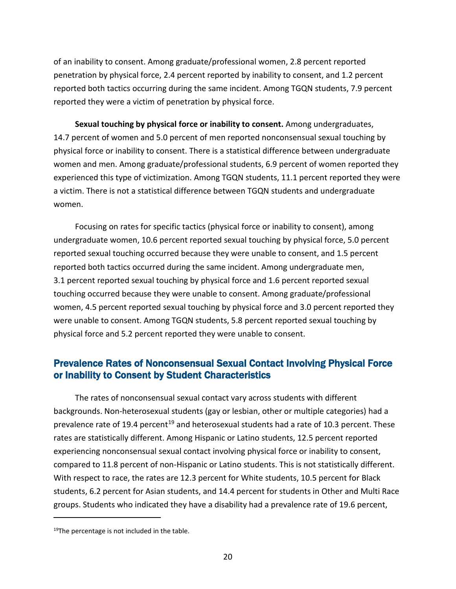of an inability to consent. Among graduate/professional women, 2.8 percent reported penetration by physical force, 2.4 percent reported by inability to consent, and 1.2 percent reported both tactics occurring during the same incident. Among TGQN students, 7.9 percent reported they were a victim of penetration by physical force.

**Sexual touching by physical force or inability to consent.** Among undergraduates, 14.7 percent of women and 5.0 percent of men reported nonconsensual sexual touching by physical force or inability to consent. There is a statistical difference between undergraduate women and men. Among graduate/professional students, 6.9 percent of women reported they experienced this type of victimization. Among TGQN students, 11.1 percent reported they were a victim. There is not a statistical difference between TGQN students and undergraduate women.

Focusing on rates for specific tactics (physical force or inability to consent), among undergraduate women, 10.6 percent reported sexual touching by physical force, 5.0 percent reported sexual touching occurred because they were unable to consent, and 1.5 percent reported both tactics occurred during the same incident. Among undergraduate men, 3.1 percent reported sexual touching by physical force and 1.6 percent reported sexual touching occurred because they were unable to consent. Among graduate/professional women, 4.5 percent reported sexual touching by physical force and 3.0 percent reported they were unable to consent. Among TGQN students, 5.8 percent reported sexual touching by physical force and 5.2 percent reported they were unable to consent.

### Prevalence Rates of Nonconsensual Sexual Contact Involving Physical Force or Inability to Consent by Student Characteristics

The rates of nonconsensual sexual contact vary across students with different backgrounds. Non-heterosexual students (gay or lesbian, other or multiple categories) had a prevalence rate of [19](#page-28-0).4 percent<sup>19</sup> and heterosexual students had a rate of 10.3 percent. These rates are statistically different. Among Hispanic or Latino students, 12.5 percent reported experiencing nonconsensual sexual contact involving physical force or inability to consent, compared to 11.8 percent of non-Hispanic or Latino students. This is not statistically different. With respect to race, the rates are 12.3 percent for White students, 10.5 percent for Black students, 6.2 percent for Asian students, and 14.4 percent for students in Other and Multi Race groups. Students who indicated they have a disability had a prevalence rate of 19.6 percent,

<span id="page-28-0"></span> $19$ The percentage is not included in the table.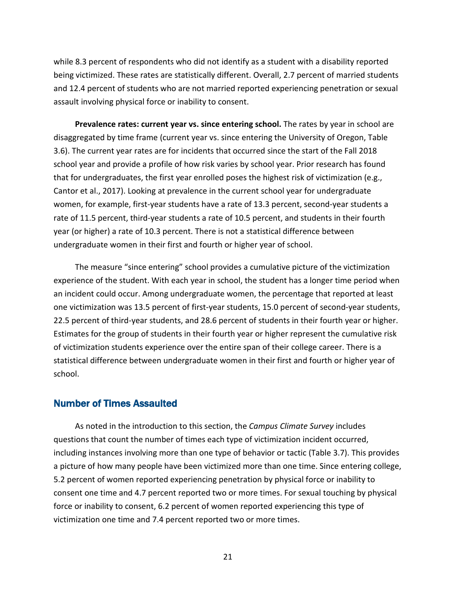while 8.3 percent of respondents who did not identify as a student with a disability reported being victimized. These rates are statistically different. Overall, 2.7 percent of married students and 12.4 percent of students who are not married reported experiencing penetration or sexual assault involving physical force or inability to consent.

**Prevalence rates: current year vs. since entering school.** The rates by year in school are disaggregated by time frame (current year vs. since entering the University of Oregon, Table 3.6). The current year rates are for incidents that occurred since the start of the Fall 2018 school year and provide a profile of how risk varies by school year. Prior research has found that for undergraduates, the first year enrolled poses the highest risk of victimization (e.g., Cantor et al., 2017). Looking at prevalence in the current school year for undergraduate women, for example, first-year students have a rate of 13.3 percent, second-year students a rate of 11.5 percent, third-year students a rate of 10.5 percent, and students in their fourth year (or higher) a rate of 10.3 percent. There is not a statistical difference between undergraduate women in their first and fourth or higher year of school.

The measure "since entering" school provides a cumulative picture of the victimization experience of the student. With each year in school, the student has a longer time period when an incident could occur. Among undergraduate women, the percentage that reported at least one victimization was 13.5 percent of first-year students, 15.0 percent of second-year students, 22.5 percent of third-year students, and 28.6 percent of students in their fourth year or higher. Estimates for the group of students in their fourth year or higher represent the cumulative risk of victimization students experience over the entire span of their college career. There is a statistical difference between undergraduate women in their first and fourth or higher year of school.

#### Number of Times Assaulted

As noted in the introduction to this section, the *Campus Climate Survey* includes questions that count the number of times each type of victimization incident occurred, including instances involving more than one type of behavior or tactic (Table 3.7). This provides a picture of how many people have been victimized more than one time. Since entering college, 5.2 percent of women reported experiencing penetration by physical force or inability to consent one time and 4.7 percent reported two or more times. For sexual touching by physical force or inability to consent, 6.2 percent of women reported experiencing this type of victimization one time and 7.4 percent reported two or more times.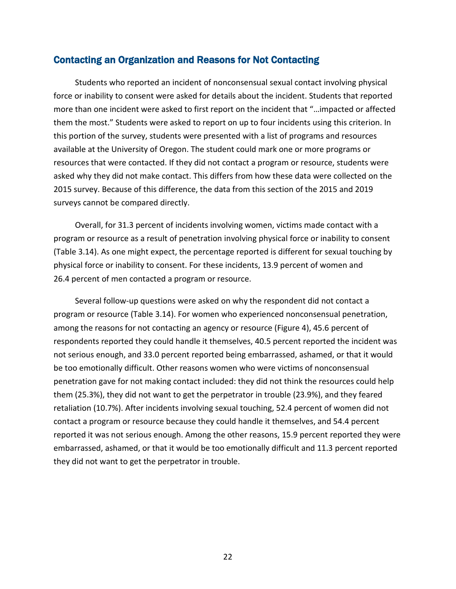#### Contacting an Organization and Reasons for Not Contacting

Students who reported an incident of nonconsensual sexual contact involving physical force or inability to consent were asked for details about the incident. Students that reported more than one incident were asked to first report on the incident that "…impacted or affected them the most." Students were asked to report on up to four incidents using this criterion. In this portion of the survey, students were presented with a list of programs and resources available at the University of Oregon. The student could mark one or more programs or resources that were contacted. If they did not contact a program or resource, students were asked why they did not make contact. This differs from how these data were collected on the 2015 survey. Because of this difference, the data from this section of the 2015 and 2019 surveys cannot be compared directly.

Overall, for 31.3 percent of incidents involving women, victims made contact with a program or resource as a result of penetration involving physical force or inability to consent (Table 3.14). As one might expect, the percentage reported is different for sexual touching by physical force or inability to consent. For these incidents, 13.9 percent of women and 26.4 percent of men contacted a program or resource.

Several follow-up questions were asked on why the respondent did not contact a program or resource (Table 3.14). For women who experienced nonconsensual penetration, among the reasons for not contacting an agency or resource (Figure 4), 45.6 percent of respondents reported they could handle it themselves, 40.5 percent reported the incident was not serious enough, and 33.0 percent reported being embarrassed, ashamed, or that it would be too emotionally difficult. Other reasons women who were victims of nonconsensual penetration gave for not making contact included: they did not think the resources could help them (25.3%), they did not want to get the perpetrator in trouble (23.9%), and they feared retaliation (10.7%). After incidents involving sexual touching, 52.4 percent of women did not contact a program or resource because they could handle it themselves, and 54.4 percent reported it was not serious enough. Among the other reasons, 15.9 percent reported they were embarrassed, ashamed, or that it would be too emotionally difficult and 11.3 percent reported they did not want to get the perpetrator in trouble.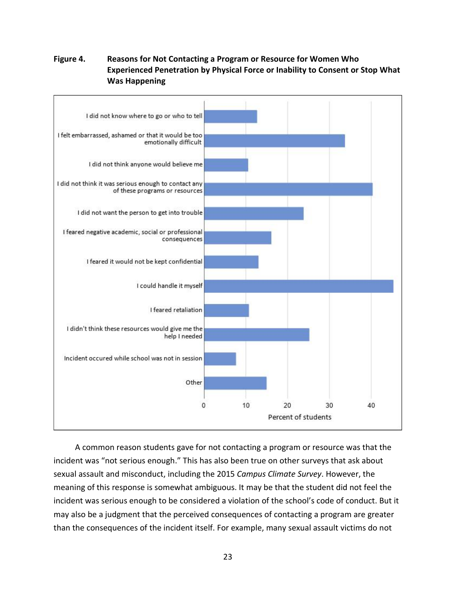#### **Figure 4. Reasons for Not Contacting a Program or Resource for Women Who Experienced Penetration by Physical Force or Inability to Consent or Stop What Was Happening**



A common reason students gave for not contacting a program or resource was that the incident was "not serious enough." This has also been true on other surveys that ask about sexual assault and misconduct, including the 2015 *Campus Climate Survey*. However, the meaning of this response is somewhat ambiguous. It may be that the student did not feel the incident was serious enough to be considered a violation of the school's code of conduct. But it may also be a judgment that the perceived consequences of contacting a program are greater than the consequences of the incident itself. For example, many sexual assault victims do not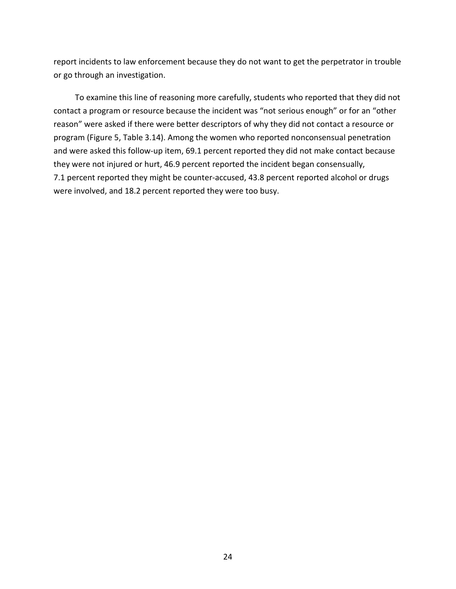report incidents to law enforcement because they do not want to get the perpetrator in trouble or go through an investigation.

To examine this line of reasoning more carefully, students who reported that they did not contact a program or resource because the incident was "not serious enough" or for an "other reason" were asked if there were better descriptors of why they did not contact a resource or program (Figure 5, Table 3.14). Among the women who reported nonconsensual penetration and were asked this follow-up item, 69.1 percent reported they did not make contact because they were not injured or hurt, 46.9 percent reported the incident began consensually, 7.1 percent reported they might be counter-accused, 43.8 percent reported alcohol or drugs were involved, and 18.2 percent reported they were too busy.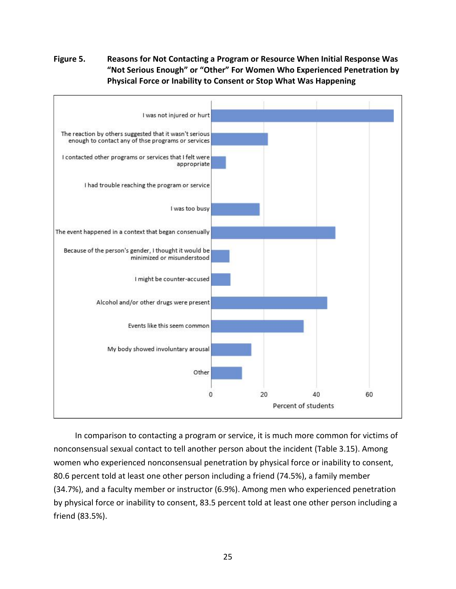**Figure 5. Reasons for Not Contacting a Program or Resource When Initial Response Was "Not Serious Enough" or "Other" For Women Who Experienced Penetration by Physical Force or Inability to Consent or Stop What Was Happening**



In comparison to contacting a program or service, it is much more common for victims of nonconsensual sexual contact to tell another person about the incident (Table 3.15). Among women who experienced nonconsensual penetration by physical force or inability to consent, 80.6 percent told at least one other person including a friend (74.5%), a family member (34.7%), and a faculty member or instructor (6.9%). Among men who experienced penetration by physical force or inability to consent, 83.5 percent told at least one other person including a friend (83.5%).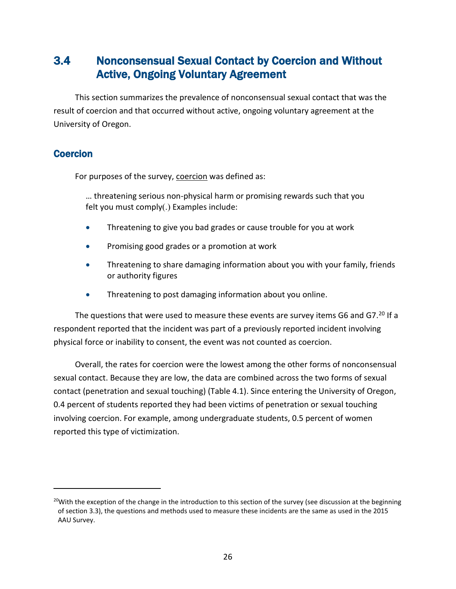# 3.4 Nonconsensual Sexual Contact by Coercion and Without Active, Ongoing Voluntary Agreement

This section summarizes the prevalence of nonconsensual sexual contact that was the result of coercion and that occurred without active, ongoing voluntary agreement at the University of Oregon.

### Coercion

For purposes of the survey, coercion was defined as:

… threatening serious non-physical harm or promising rewards such that you felt you must comply(.) Examples include:

- Threatening to give you bad grades or cause trouble for you at work
- Promising good grades or a promotion at work
- Threatening to share damaging information about you with your family, friends or authority figures
- Threatening to post damaging information about you online.

The questions that were used to measure these events are survey items G6 and G7.<sup>[20](#page-34-0)</sup> If a respondent reported that the incident was part of a previously reported incident involving physical force or inability to consent, the event was not counted as coercion.

Overall, the rates for coercion were the lowest among the other forms of nonconsensual sexual contact. Because they are low, the data are combined across the two forms of sexual contact (penetration and sexual touching) (Table 4.1). Since entering the University of Oregon, 0.4 percent of students reported they had been victims of penetration or sexual touching involving coercion. For example, among undergraduate students, 0.5 percent of women reported this type of victimization.

<span id="page-34-0"></span><sup>&</sup>lt;sup>20</sup>With the exception of the change in the introduction to this section of the survey (see discussion at the beginning of section 3.3), the questions and methods used to measure these incidents are the same as used in the 2015 AAU Survey.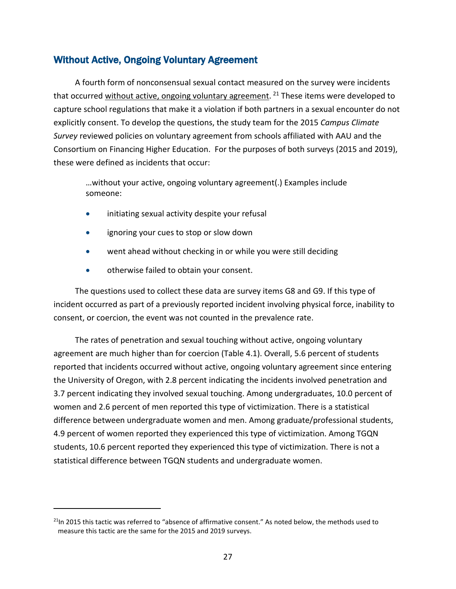### Without Active, Ongoing Voluntary Agreement

A fourth form of nonconsensual sexual contact measured on the survey were incidents that occurred without active, ongoing voluntary agreement.  $21$  These items were developed to capture school regulations that make it a violation if both partners in a sexual encounter do not explicitly consent. To develop the questions, the study team for the 2015 *Campus Climate Survey* reviewed policies on voluntary agreement from schools affiliated with AAU and the Consortium on Financing Higher Education. For the purposes of both surveys (2015 and 2019), these were defined as incidents that occur:

…without your active, ongoing voluntary agreement(.) Examples include someone:

- initiating sexual activity despite your refusal
- ignoring your cues to stop or slow down
- went ahead without checking in or while you were still deciding
- otherwise failed to obtain your consent.

The questions used to collect these data are survey items G8 and G9. If this type of incident occurred as part of a previously reported incident involving physical force, inability to consent, or coercion, the event was not counted in the prevalence rate.

The rates of penetration and sexual touching without active, ongoing voluntary agreement are much higher than for coercion (Table 4.1). Overall, 5.6 percent of students reported that incidents occurred without active, ongoing voluntary agreement since entering the University of Oregon, with 2.8 percent indicating the incidents involved penetration and 3.7 percent indicating they involved sexual touching. Among undergraduates, 10.0 percent of women and 2.6 percent of men reported this type of victimization. There is a statistical difference between undergraduate women and men. Among graduate/professional students, 4.9 percent of women reported they experienced this type of victimization. Among TGQN students, 10.6 percent reported they experienced this type of victimization. There is not a statistical difference between TGQN students and undergraduate women.

<span id="page-35-0"></span> $21$ In 2015 this tactic was referred to "absence of affirmative consent." As noted below, the methods used to measure this tactic are the same for the 2015 and 2019 surveys.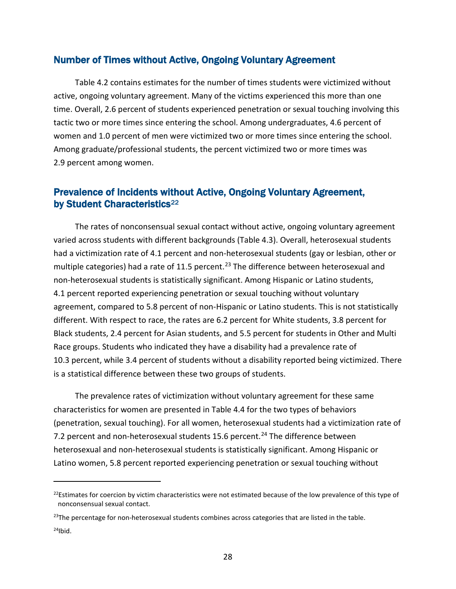#### Number of Times without Active, Ongoing Voluntary Agreement

Table 4.2 contains estimates for the number of times students were victimized without active, ongoing voluntary agreement. Many of the victims experienced this more than one time. Overall, 2.6 percent of students experienced penetration or sexual touching involving this tactic two or more times since entering the school. Among undergraduates, 4.6 percent of women and 1.0 percent of men were victimized two or more times since entering the school. Among graduate/professional students, the percent victimized two or more times was 2.9 percent among women.

### Prevalence of Incidents without Active, Ongoing Voluntary Agreement, by Student Characteristics<sup>[22](#page-36-0)</sup>

The rates of nonconsensual sexual contact without active, ongoing voluntary agreement varied across students with different backgrounds (Table 4.3). Overall, heterosexual students had a victimization rate of 4.1 percent and non-heterosexual students (gay or lesbian, other or multiple categories) had a rate of 11.5 percent.<sup>[23](#page-36-1)</sup> The difference between heterosexual and non-heterosexual students is statistically significant. Among Hispanic or Latino students, 4.1 percent reported experiencing penetration or sexual touching without voluntary agreement, compared to 5.8 percent of non-Hispanic or Latino students. This is not statistically different. With respect to race, the rates are 6.2 percent for White students, 3.8 percent for Black students, 2.4 percent for Asian students, and 5.5 percent for students in Other and Multi Race groups. Students who indicated they have a disability had a prevalence rate of 10.3 percent, while 3.4 percent of students without a disability reported being victimized. There is a statistical difference between these two groups of students.

The prevalence rates of victimization without voluntary agreement for these same characteristics for women are presented in Table 4.4 for the two types of behaviors (penetration, sexual touching). For all women, heterosexual students had a victimization rate of 7.2 percent and non-heterosexual students 15.6 percent.<sup>[24](#page-36-2)</sup> The difference between heterosexual and non-heterosexual students is statistically significant. Among Hispanic or Latino women, 5.8 percent reported experiencing penetration or sexual touching without

<span id="page-36-0"></span> $^{22}$ Estimates for coercion by victim characteristics were not estimated because of the low prevalence of this type of nonconsensual sexual contact.

<span id="page-36-2"></span><span id="page-36-1"></span> $^{23}$ The percentage for non-heterosexual students combines across categories that are listed in the table.  $24$ Ibid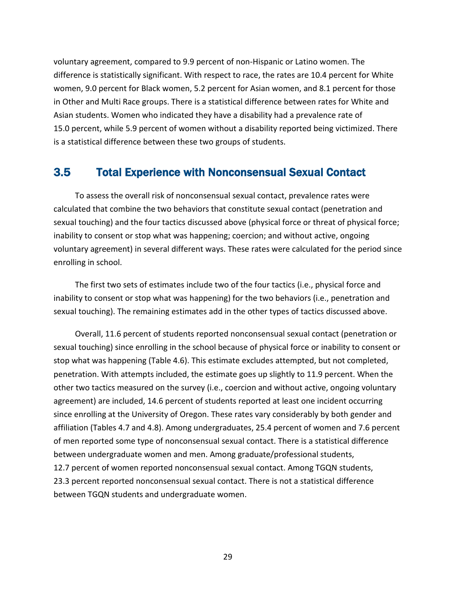voluntary agreement, compared to 9.9 percent of non-Hispanic or Latino women. The difference is statistically significant. With respect to race, the rates are 10.4 percent for White women, 9.0 percent for Black women, 5.2 percent for Asian women, and 8.1 percent for those in Other and Multi Race groups. There is a statistical difference between rates for White and Asian students. Women who indicated they have a disability had a prevalence rate of 15.0 percent, while 5.9 percent of women without a disability reported being victimized. There is a statistical difference between these two groups of students.

# 3.5 Total Experience with Nonconsensual Sexual Contact

To assess the overall risk of nonconsensual sexual contact, prevalence rates were calculated that combine the two behaviors that constitute sexual contact (penetration and sexual touching) and the four tactics discussed above (physical force or threat of physical force; inability to consent or stop what was happening; coercion; and without active, ongoing voluntary agreement) in several different ways. These rates were calculated for the period since enrolling in school.

The first two sets of estimates include two of the four tactics (i.e., physical force and inability to consent or stop what was happening) for the two behaviors (i.e., penetration and sexual touching). The remaining estimates add in the other types of tactics discussed above.

Overall, 11.6 percent of students reported nonconsensual sexual contact (penetration or sexual touching) since enrolling in the school because of physical force or inability to consent or stop what was happening (Table 4.6). This estimate excludes attempted, but not completed, penetration. With attempts included, the estimate goes up slightly to 11.9 percent. When the other two tactics measured on the survey (i.e., coercion and without active, ongoing voluntary agreement) are included, 14.6 percent of students reported at least one incident occurring since enrolling at the University of Oregon. These rates vary considerably by both gender and affiliation (Tables 4.7 and 4.8). Among undergraduates, 25.4 percent of women and 7.6 percent of men reported some type of nonconsensual sexual contact. There is a statistical difference between undergraduate women and men. Among graduate/professional students, 12.7 percent of women reported nonconsensual sexual contact. Among TGQN students, 23.3 percent reported nonconsensual sexual contact. There is not a statistical difference between TGQN students and undergraduate women.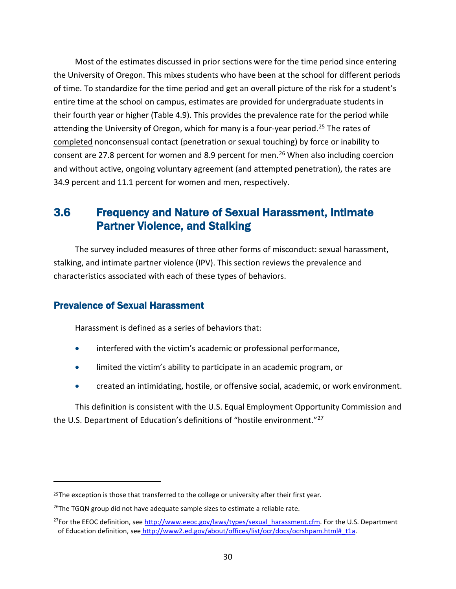Most of the estimates discussed in prior sections were for the time period since entering the University of Oregon. This mixes students who have been at the school for different periods of time. To standardize for the time period and get an overall picture of the risk for a student's entire time at the school on campus, estimates are provided for undergraduate students in their fourth year or higher (Table 4.9). This provides the prevalence rate for the period while attending the University of Oregon, which for many is a four-year period.<sup>[25](#page-38-0)</sup> The rates of completed nonconsensual contact (penetration or sexual touching) by force or inability to consent are 27.8 percent for women and 8.9 percent for men.<sup>[26](#page-38-1)</sup> When also including coercion and without active, ongoing voluntary agreement (and attempted penetration), the rates are 34.9 percent and 11.1 percent for women and men, respectively.

# 3.6 Frequency and Nature of Sexual Harassment, Intimate Partner Violence, and Stalking

The survey included measures of three other forms of misconduct: sexual harassment, stalking, and intimate partner violence (IPV). This section reviews the prevalence and characteristics associated with each of these types of behaviors.

#### Prevalence of Sexual Harassment

Harassment is defined as a series of behaviors that:

- interfered with the victim's academic or professional performance,
- limited the victim's ability to participate in an academic program, or
- created an intimidating, hostile, or offensive social, academic, or work environment.

This definition is consistent with the U.S. Equal Employment Opportunity Commission and the U.S. Department of Education's definitions of "hostile environment."[27](#page-38-2)

<span id="page-38-0"></span><sup>&</sup>lt;sup>25</sup>The exception is those that transferred to the college or university after their first year.

<span id="page-38-1"></span> $26$ The TGQN group did not have adequate sample sizes to estimate a reliable rate.

<span id="page-38-2"></span> $^{27}$ For the EEOC definition, see [http://www.eeoc.gov/laws/types/sexual\\_harassment.cfm.](http://www.eeoc.gov/laws/types/sexual_harassment.cfm) For the U.S. Department of Education definition, see [http://www2.ed.gov/about/offices/list/ocr/docs/ocrshpam.html#\\_t1a.](http://www2.ed.gov/about/offices/list/ocr/docs/ocrshpam.html#_t1a)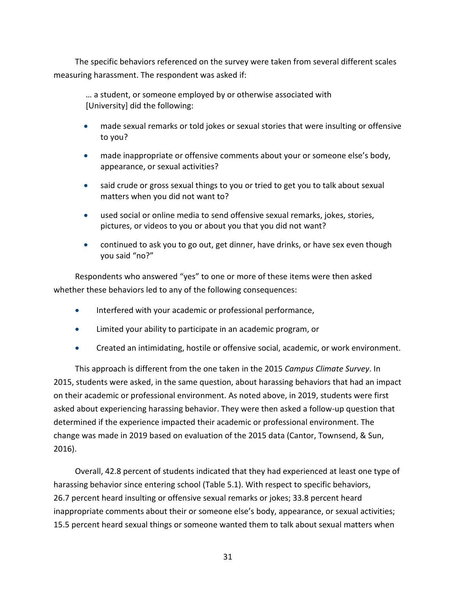The specific behaviors referenced on the survey were taken from several different scales measuring harassment. The respondent was asked if:

… a student, or someone employed by or otherwise associated with [University] did the following:

- made sexual remarks or told jokes or sexual stories that were insulting or offensive to you?
- made inappropriate or offensive comments about your or someone else's body, appearance, or sexual activities?
- said crude or gross sexual things to you or tried to get you to talk about sexual matters when you did not want to?
- used social or online media to send offensive sexual remarks, jokes, stories, pictures, or videos to you or about you that you did not want?
- continued to ask you to go out, get dinner, have drinks, or have sex even though you said "no?"

Respondents who answered "yes" to one or more of these items were then asked whether these behaviors led to any of the following consequences:

- Interfered with your academic or professional performance,
- Limited your ability to participate in an academic program, or
- Created an intimidating, hostile or offensive social, academic, or work environment.

This approach is different from the one taken in the 2015 *Campus Climate Survey*. In 2015, students were asked, in the same question, about harassing behaviors that had an impact on their academic or professional environment. As noted above, in 2019, students were first asked about experiencing harassing behavior. They were then asked a follow-up question that determined if the experience impacted their academic or professional environment. The change was made in 2019 based on evaluation of the 2015 data (Cantor, Townsend, & Sun, 2016).

Overall, 42.8 percent of students indicated that they had experienced at least one type of harassing behavior since entering school (Table 5.1). With respect to specific behaviors, 26.7 percent heard insulting or offensive sexual remarks or jokes; 33.8 percent heard inappropriate comments about their or someone else's body, appearance, or sexual activities; 15.5 percent heard sexual things or someone wanted them to talk about sexual matters when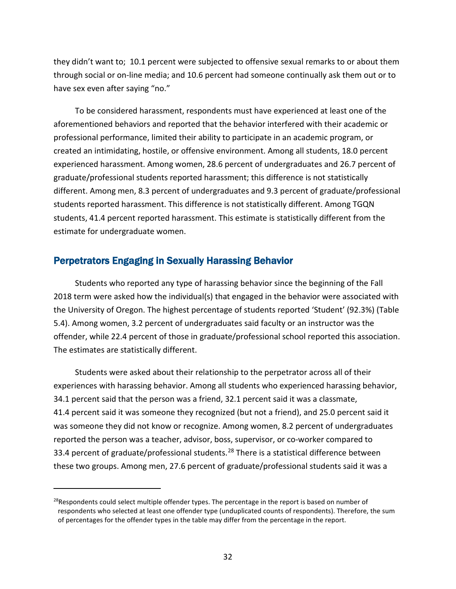they didn't want to; 10.1 percent were subjected to offensive sexual remarks to or about them through social or on-line media; and 10.6 percent had someone continually ask them out or to have sex even after saying "no."

To be considered harassment, respondents must have experienced at least one of the aforementioned behaviors and reported that the behavior interfered with their academic or professional performance, limited their ability to participate in an academic program, or created an intimidating, hostile, or offensive environment. Among all students, 18.0 percent experienced harassment. Among women, 28.6 percent of undergraduates and 26.7 percent of graduate/professional students reported harassment; this difference is not statistically different. Among men, 8.3 percent of undergraduates and 9.3 percent of graduate/professional students reported harassment. This difference is not statistically different. Among TGQN students, 41.4 percent reported harassment. This estimate is statistically different from the estimate for undergraduate women.

#### Perpetrators Engaging in Sexually Harassing Behavior

Students who reported any type of harassing behavior since the beginning of the Fall 2018 term were asked how the individual(s) that engaged in the behavior were associated with the University of Oregon. The highest percentage of students reported 'Student' (92.3%) (Table 5.4). Among women, 3.2 percent of undergraduates said faculty or an instructor was the offender, while 22.4 percent of those in graduate/professional school reported this association. The estimates are statistically different.

Students were asked about their relationship to the perpetrator across all of their experiences with harassing behavior. Among all students who experienced harassing behavior, 34.1 percent said that the person was a friend, 32.1 percent said it was a classmate, 41.4 percent said it was someone they recognized (but not a friend), and 25.0 percent said it was someone they did not know or recognize. Among women, 8.2 percent of undergraduates reported the person was a teacher, advisor, boss, supervisor, or co-worker compared to 33.4 percent of graduate/professional students.<sup>[28](#page-40-0)</sup> There is a statistical difference between these two groups. Among men, 27.6 percent of graduate/professional students said it was a

<span id="page-40-0"></span> $^{28}$ Respondents could select multiple offender types. The percentage in the report is based on number of respondents who selected at least one offender type (unduplicated counts of respondents). Therefore, the sum of percentages for the offender types in the table may differ from the percentage in the report.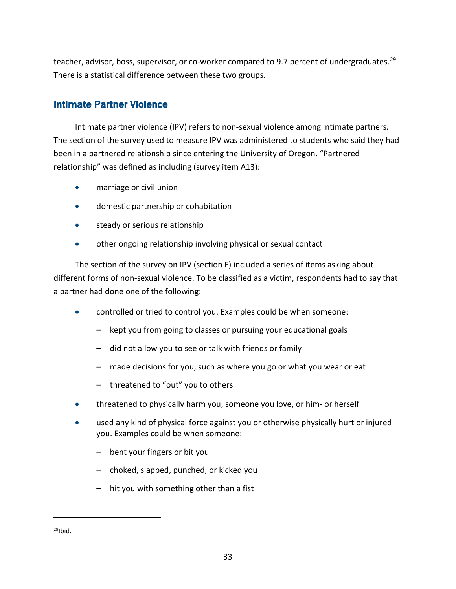teacher, advisor, boss, supervisor, or co-worker compared to 9.7 percent of undergraduates.<sup>[29](#page-41-0)</sup> There is a statistical difference between these two groups.

### Intimate Partner Violence

Intimate partner violence (IPV) refers to non-sexual violence among intimate partners. The section of the survey used to measure IPV was administered to students who said they had been in a partnered relationship since entering the University of Oregon. "Partnered relationship" was defined as including (survey item A13):

- marriage or civil union
- domestic partnership or cohabitation
- steady or serious relationship
- other ongoing relationship involving physical or sexual contact

The section of the survey on IPV (section F) included a series of items asking about different forms of non-sexual violence. To be classified as a victim, respondents had to say that a partner had done one of the following:

- controlled or tried to control you. Examples could be when someone:
	- kept you from going to classes or pursuing your educational goals
	- did not allow you to see or talk with friends or family
	- made decisions for you, such as where you go or what you wear or eat
	- threatened to "out" you to others
- threatened to physically harm you, someone you love, or him- or herself
- used any kind of physical force against you or otherwise physically hurt or injured you. Examples could be when someone:
	- bent your fingers or bit you
	- choked, slapped, punched, or kicked you
	- hit you with something other than a fist

<span id="page-41-0"></span> $29$ Ibid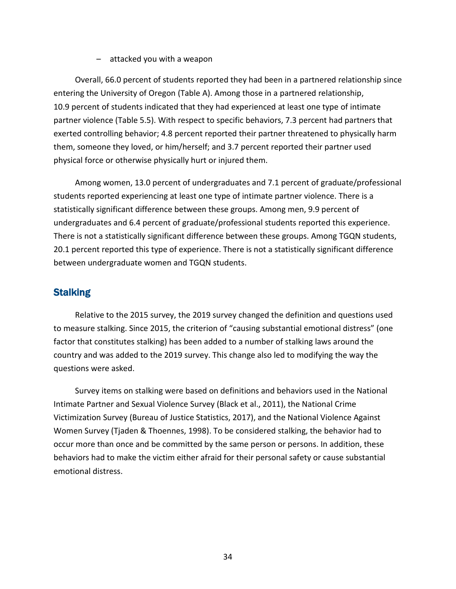– attacked you with a weapon

Overall, 66.0 percent of students reported they had been in a partnered relationship since entering the University of Oregon (Table A). Among those in a partnered relationship, 10.9 percent of students indicated that they had experienced at least one type of intimate partner violence (Table 5.5). With respect to specific behaviors, 7.3 percent had partners that exerted controlling behavior; 4.8 percent reported their partner threatened to physically harm them, someone they loved, or him/herself; and 3.7 percent reported their partner used physical force or otherwise physically hurt or injured them.

Among women, 13.0 percent of undergraduates and 7.1 percent of graduate/professional students reported experiencing at least one type of intimate partner violence. There is a statistically significant difference between these groups. Among men, 9.9 percent of undergraduates and 6.4 percent of graduate/professional students reported this experience. There is not a statistically significant difference between these groups. Among TGQN students, 20.1 percent reported this type of experience. There is not a statistically significant difference between undergraduate women and TGQN students.

#### **Stalking**

Relative to the 2015 survey, the 2019 survey changed the definition and questions used to measure stalking. Since 2015, the criterion of "causing substantial emotional distress" (one factor that constitutes stalking) has been added to a number of stalking laws around the country and was added to the 2019 survey. This change also led to modifying the way the questions were asked.

Survey items on stalking were based on definitions and behaviors used in the National Intimate Partner and Sexual Violence Survey (Black et al., 2011), the National Crime Victimization Survey (Bureau of Justice Statistics, 2017), and the National Violence Against Women Survey (Tjaden & Thoennes, 1998). To be considered stalking, the behavior had to occur more than once and be committed by the same person or persons. In addition, these behaviors had to make the victim either afraid for their personal safety or cause substantial emotional distress.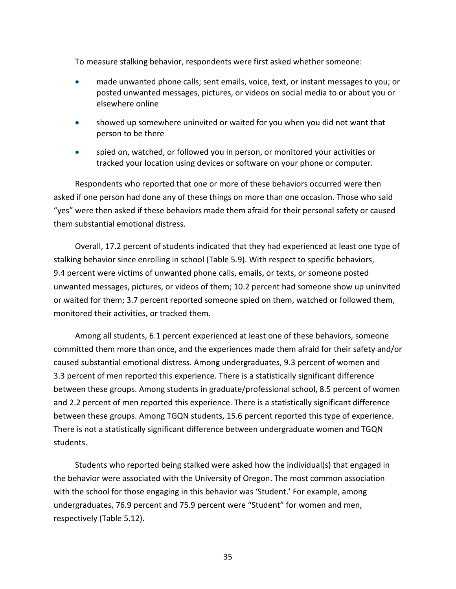To measure stalking behavior, respondents were first asked whether someone:

- made unwanted phone calls; sent emails, voice, text, or instant messages to you; or posted unwanted messages, pictures, or videos on social media to or about you or elsewhere online
- showed up somewhere uninvited or waited for you when you did not want that person to be there
- spied on, watched, or followed you in person, or monitored your activities or tracked your location using devices or software on your phone or computer.

Respondents who reported that one or more of these behaviors occurred were then asked if one person had done any of these things on more than one occasion. Those who said "yes" were then asked if these behaviors made them afraid for their personal safety or caused them substantial emotional distress.

Overall, 17.2 percent of students indicated that they had experienced at least one type of stalking behavior since enrolling in school (Table 5.9). With respect to specific behaviors, 9.4 percent were victims of unwanted phone calls, emails, or texts, or someone posted unwanted messages, pictures, or videos of them; 10.2 percent had someone show up uninvited or waited for them; 3.7 percent reported someone spied on them, watched or followed them, monitored their activities, or tracked them.

Among all students, 6.1 percent experienced at least one of these behaviors, someone committed them more than once, and the experiences made them afraid for their safety and/or caused substantial emotional distress. Among undergraduates, 9.3 percent of women and 3.3 percent of men reported this experience. There is a statistically significant difference between these groups. Among students in graduate/professional school, 8.5 percent of women and 2.2 percent of men reported this experience. There is a statistically significant difference between these groups. Among TGQN students, 15.6 percent reported this type of experience. There is not a statistically significant difference between undergraduate women and TGQN students.

Students who reported being stalked were asked how the individual(s) that engaged in the behavior were associated with the University of Oregon. The most common association with the school for those engaging in this behavior was 'Student.' For example, among undergraduates, 76.9 percent and 75.9 percent were "Student" for women and men, respectively (Table 5.12).

35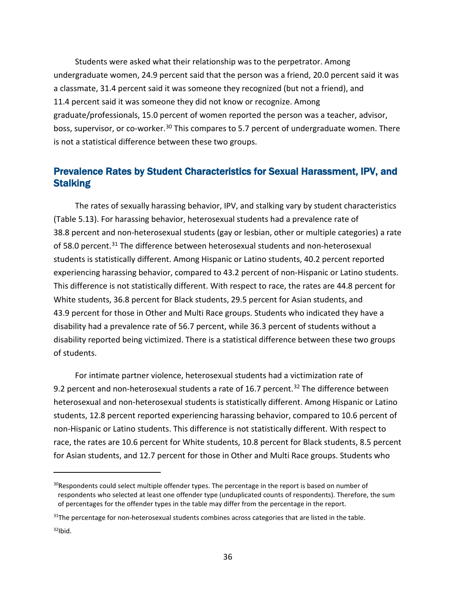Students were asked what their relationship was to the perpetrator. Among undergraduate women, 24.9 percent said that the person was a friend, 20.0 percent said it was a classmate, 31.4 percent said it was someone they recognized (but not a friend), and 11.4 percent said it was someone they did not know or recognize. Among graduate/professionals, 15.0 percent of women reported the person was a teacher, advisor, boss, supervisor, or co-worker.<sup>[30](#page-44-0)</sup> This compares to 5.7 percent of undergraduate women. There is not a statistical difference between these two groups.

### Prevalence Rates by Student Characteristics for Sexual Harassment, IPV, and **Stalking**

The rates of sexually harassing behavior, IPV, and stalking vary by student characteristics (Table 5.13). For harassing behavior, heterosexual students had a prevalence rate of 38.8 percent and non-heterosexual students (gay or lesbian, other or multiple categories) a rate of 58.0 percent.[31](#page-44-1) The difference between heterosexual students and non-heterosexual students is statistically different. Among Hispanic or Latino students, 40.2 percent reported experiencing harassing behavior, compared to 43.2 percent of non-Hispanic or Latino students. This difference is not statistically different. With respect to race, the rates are 44.8 percent for White students, 36.8 percent for Black students, 29.5 percent for Asian students, and 43.9 percent for those in Other and Multi Race groups. Students who indicated they have a disability had a prevalence rate of 56.7 percent, while 36.3 percent of students without a disability reported being victimized. There is a statistical difference between these two groups of students.

For intimate partner violence, heterosexual students had a victimization rate of 9.2 percent and non-heterosexual students a rate of 16.7 percent.<sup>[32](#page-44-2)</sup> The difference between heterosexual and non-heterosexual students is statistically different. Among Hispanic or Latino students, 12.8 percent reported experiencing harassing behavior, compared to 10.6 percent of non-Hispanic or Latino students. This difference is not statistically different. With respect to race, the rates are 10.6 percent for White students, 10.8 percent for Black students, 8.5 percent for Asian students, and 12.7 percent for those in Other and Multi Race groups. Students who

<span id="page-44-0"></span> $30$ Respondents could select multiple offender types. The percentage in the report is based on number of respondents who selected at least one offender type (unduplicated counts of respondents). Therefore, the sum of percentages for the offender types in the table may differ from the percentage in the report.

<span id="page-44-2"></span><span id="page-44-1"></span> $31$ The percentage for non-heterosexual students combines across categories that are listed in the table.  $32$ Ibid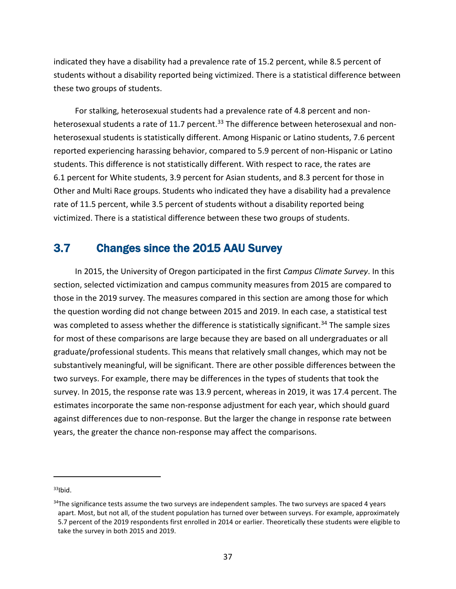indicated they have a disability had a prevalence rate of 15.2 percent, while 8.5 percent of students without a disability reported being victimized. There is a statistical difference between these two groups of students.

For stalking, heterosexual students had a prevalence rate of 4.8 percent and non-heterosexual students a rate of 11.7 percent.<sup>[33](#page-45-0)</sup> The difference between heterosexual and nonheterosexual students is statistically different. Among Hispanic or Latino students, 7.6 percent reported experiencing harassing behavior, compared to 5.9 percent of non-Hispanic or Latino students. This difference is not statistically different. With respect to race, the rates are 6.1 percent for White students, 3.9 percent for Asian students, and 8.3 percent for those in Other and Multi Race groups. Students who indicated they have a disability had a prevalence rate of 11.5 percent, while 3.5 percent of students without a disability reported being victimized. There is a statistical difference between these two groups of students.

# 3.7 Changes since the 2015 AAU Survey

In 2015, the University of Oregon participated in the first *Campus Climate Survey*. In this section, selected victimization and campus community measures from 2015 are compared to those in the 2019 survey. The measures compared in this section are among those for which the question wording did not change between 2015 and 2019. In each case, a statistical test was completed to assess whether the difference is statistically significant.<sup>[34](#page-45-1)</sup> The sample sizes for most of these comparisons are large because they are based on all undergraduates or all graduate/professional students. This means that relatively small changes, which may not be substantively meaningful, will be significant. There are other possible differences between the two surveys. For example, there may be differences in the types of students that took the survey. In 2015, the response rate was 13.9 percent, whereas in 2019, it was 17.4 percent. The estimates incorporate the same non-response adjustment for each year, which should guard against differences due to non-response. But the larger the change in response rate between years, the greater the chance non-response may affect the comparisons.

<span id="page-45-0"></span> $33$ Ibid

<span id="page-45-1"></span><sup>&</sup>lt;sup>34</sup>The significance tests assume the two surveys are independent samples. The two surveys are spaced 4 years apart. Most, but not all, of the student population has turned over between surveys. For example, approximately 5.7 percent of the 2019 respondents first enrolled in 2014 or earlier. Theoretically these students were eligible to take the survey in both 2015 and 2019.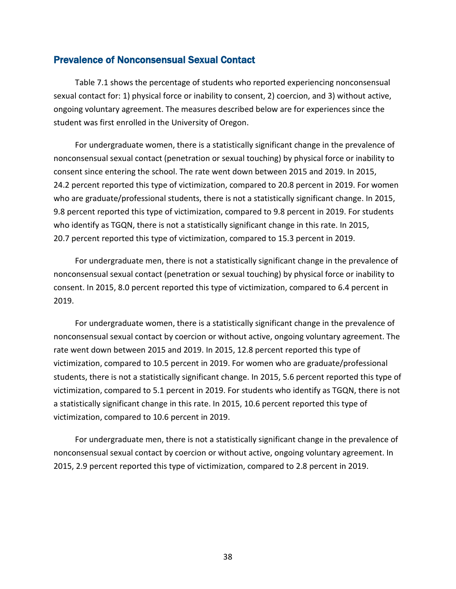#### Prevalence of Nonconsensual Sexual Contact

Table 7.1 shows the percentage of students who reported experiencing nonconsensual sexual contact for: 1) physical force or inability to consent, 2) coercion, and 3) without active, ongoing voluntary agreement. The measures described below are for experiences since the student was first enrolled in the University of Oregon.

For undergraduate women, there is a statistically significant change in the prevalence of nonconsensual sexual contact (penetration or sexual touching) by physical force or inability to consent since entering the school. The rate went down between 2015 and 2019. In 2015, 24.2 percent reported this type of victimization, compared to 20.8 percent in 2019. For women who are graduate/professional students, there is not a statistically significant change. In 2015, 9.8 percent reported this type of victimization, compared to 9.8 percent in 2019. For students who identify as TGQN, there is not a statistically significant change in this rate. In 2015, 20.7 percent reported this type of victimization, compared to 15.3 percent in 2019.

For undergraduate men, there is not a statistically significant change in the prevalence of nonconsensual sexual contact (penetration or sexual touching) by physical force or inability to consent. In 2015, 8.0 percent reported this type of victimization, compared to 6.4 percent in 2019.

For undergraduate women, there is a statistically significant change in the prevalence of nonconsensual sexual contact by coercion or without active, ongoing voluntary agreement. The rate went down between 2015 and 2019. In 2015, 12.8 percent reported this type of victimization, compared to 10.5 percent in 2019. For women who are graduate/professional students, there is not a statistically significant change. In 2015, 5.6 percent reported this type of victimization, compared to 5.1 percent in 2019. For students who identify as TGQN, there is not a statistically significant change in this rate. In 2015, 10.6 percent reported this type of victimization, compared to 10.6 percent in 2019.

For undergraduate men, there is not a statistically significant change in the prevalence of nonconsensual sexual contact by coercion or without active, ongoing voluntary agreement. In 2015, 2.9 percent reported this type of victimization, compared to 2.8 percent in 2019.

38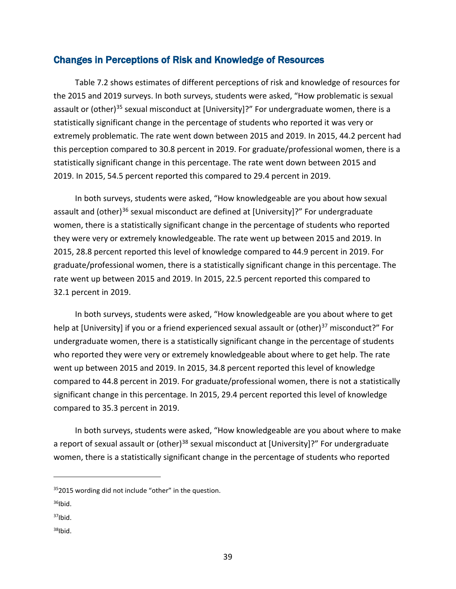#### Changes in Perceptions of Risk and Knowledge of Resources

Table 7.2 shows estimates of different perceptions of risk and knowledge of resources for the 2015 and 2019 surveys. In both surveys, students were asked, "How problematic is sexual assault or (other)<sup>35</sup> sexual misconduct at [University]?" For undergraduate women, there is a statistically significant change in the percentage of students who reported it was very or extremely problematic. The rate went down between 2015 and 2019. In 2015, 44.2 percent had this perception compared to 30.8 percent in 2019. For graduate/professional women, there is a statistically significant change in this percentage. The rate went down between 2015 and 2019. In 2015, 54.5 percent reported this compared to 29.4 percent in 2019.

In both surveys, students were asked, "How knowledgeable are you about how sexual assault and (other)<sup>[36](#page-47-1)</sup> sexual misconduct are defined at [University]?" For undergraduate women, there is a statistically significant change in the percentage of students who reported they were very or extremely knowledgeable. The rate went up between 2015 and 2019. In 2015, 28.8 percent reported this level of knowledge compared to 44.9 percent in 2019. For graduate/professional women, there is a statistically significant change in this percentage. The rate went up between 2015 and 2019. In 2015, 22.5 percent reported this compared to 32.1 percent in 2019.

In both surveys, students were asked, "How knowledgeable are you about where to get help at [University] if you or a friend experienced sexual assault or (other)<sup>[37](#page-47-2)</sup> misconduct?" For undergraduate women, there is a statistically significant change in the percentage of students who reported they were very or extremely knowledgeable about where to get help. The rate went up between 2015 and 2019. In 2015, 34.8 percent reported this level of knowledge compared to 44.8 percent in 2019. For graduate/professional women, there is not a statistically significant change in this percentage. In 2015, 29.4 percent reported this level of knowledge compared to 35.3 percent in 2019.

In both surveys, students were asked, "How knowledgeable are you about where to make a report of sexual assault or (other)<sup>[38](#page-47-3)</sup> sexual misconduct at [University]?" For undergraduate women, there is a statistically significant change in the percentage of students who reported

<span id="page-47-3"></span> $38$ Ibid

<span id="page-47-0"></span><sup>352015</sup> wording did not include "other" in the question.

<span id="page-47-1"></span> $36$ Ibid.

<span id="page-47-2"></span> $37$ Ibid.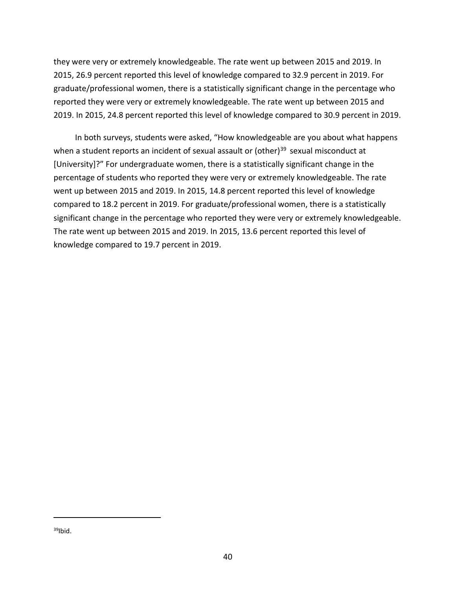they were very or extremely knowledgeable. The rate went up between 2015 and 2019. In 2015, 26.9 percent reported this level of knowledge compared to 32.9 percent in 2019. For graduate/professional women, there is a statistically significant change in the percentage who reported they were very or extremely knowledgeable. The rate went up between 2015 and 2019. In 2015, 24.8 percent reported this level of knowledge compared to 30.9 percent in 2019.

<span id="page-48-0"></span>In both surveys, students were asked, "How knowledgeable are you about what happens when a student reports an incident of sexual assault or (other) $39$  sexual misconduct at [University]?" For undergraduate women, there is a statistically significant change in the percentage of students who reported they were very or extremely knowledgeable. The rate went up between 2015 and 2019. In 2015, 14.8 percent reported this level of knowledge compared to 18.2 percent in 2019. For graduate/professional women, there is a statistically significant change in the percentage who reported they were very or extremely knowledgeable. The rate went up between 2015 and 2019. In 2015, 13.6 percent reported this level of knowledge compared to 19.7 percent in 2019.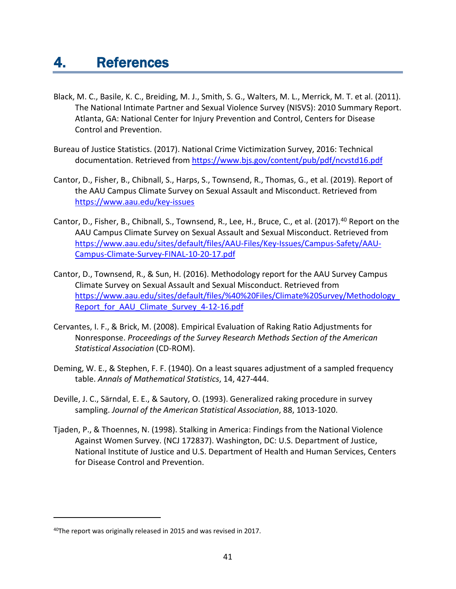- Black, M. C., Basile, K. C., Breiding, M. J., Smith, S. G., Walters, M. L., Merrick, M. T. et al. (2011). The National Intimate Partner and Sexual Violence Survey (NISVS): 2010 Summary Report. Atlanta, GA: National Center for Injury Prevention and Control, Centers for Disease Control and Prevention.
- Bureau of Justice Statistics. (2017). National Crime Victimization Survey, 2016: Technical documentation. Retrieved from<https://www.bjs.gov/content/pub/pdf/ncvstd16.pdf>
- Cantor, D., Fisher, B., Chibnall, S., Harps, S., Townsend, R., Thomas, G., et al. (2019). Report of the AAU Campus Climate Survey on Sexual Assault and Misconduct. Retrieved from <https://www.aau.edu/key-issues>
- Cantor, D., Fisher, B., Chibnall, S., Townsend, R., Lee, H., Bruce, C., et al. (2017).<sup>[40](#page-49-0)</sup> Report on the AAU Campus Climate Survey on Sexual Assault and Sexual Misconduct. Retrieved from [https://www.aau.edu/sites/default/files/AAU-Files/Key-Issues/Campus-Safety/AAU-](https://www.aau.edu/sites/default/files/AAU-Files/Key-Issues/Campus-Safety/AAU-Campus-Climate-Survey-FINAL-10-20-17.pdf)[Campus-Climate-Survey-FINAL-10-20-17.pdf](https://www.aau.edu/sites/default/files/AAU-Files/Key-Issues/Campus-Safety/AAU-Campus-Climate-Survey-FINAL-10-20-17.pdf)
- Cantor, D., Townsend, R., & Sun, H. (2016). Methodology report for the AAU Survey Campus Climate Survey on Sexual Assault and Sexual Misconduct. Retrieved from [https://www.aau.edu/sites/default/files/%40%20Files/Climate%20Survey/Methodology\\_](https://www.aau.edu/sites/default/files/%40%20Files/Climate%20Survey/Methodology_Report_for_AAU_Climate_Survey_4-12-16.pdf) Report for AAU Climate Survey 4-12-16.pdf
- Cervantes, I. F., & Brick, M. (2008). Empirical Evaluation of Raking Ratio Adjustments for Nonresponse. *Proceedings of the Survey Research Methods Section of the American Statistical Association* (CD-ROM).
- Deming, W. E., & Stephen, F. F. (1940). On a least squares adjustment of a sampled frequency table. *Annals of Mathematical Statistics*, 14, 427-444.
- Deville, J. C., Särndal, E. E., & Sautory, O. (1993). Generalized raking procedure in survey sampling. *Journal of the American Statistical Association*, 88, 1013-1020.
- Tjaden, P., & Thoennes, N. (1998). Stalking in America: Findings from the National Violence Against Women Survey. (NCJ 172837). Washington, DC: U.S. Department of Justice, National Institute of Justice and U.S. Department of Health and Human Services, Centers for Disease Control and Prevention.

<span id="page-49-0"></span><sup>&</sup>lt;sup>40</sup>The report was originally released in 2015 and was revised in 2017.